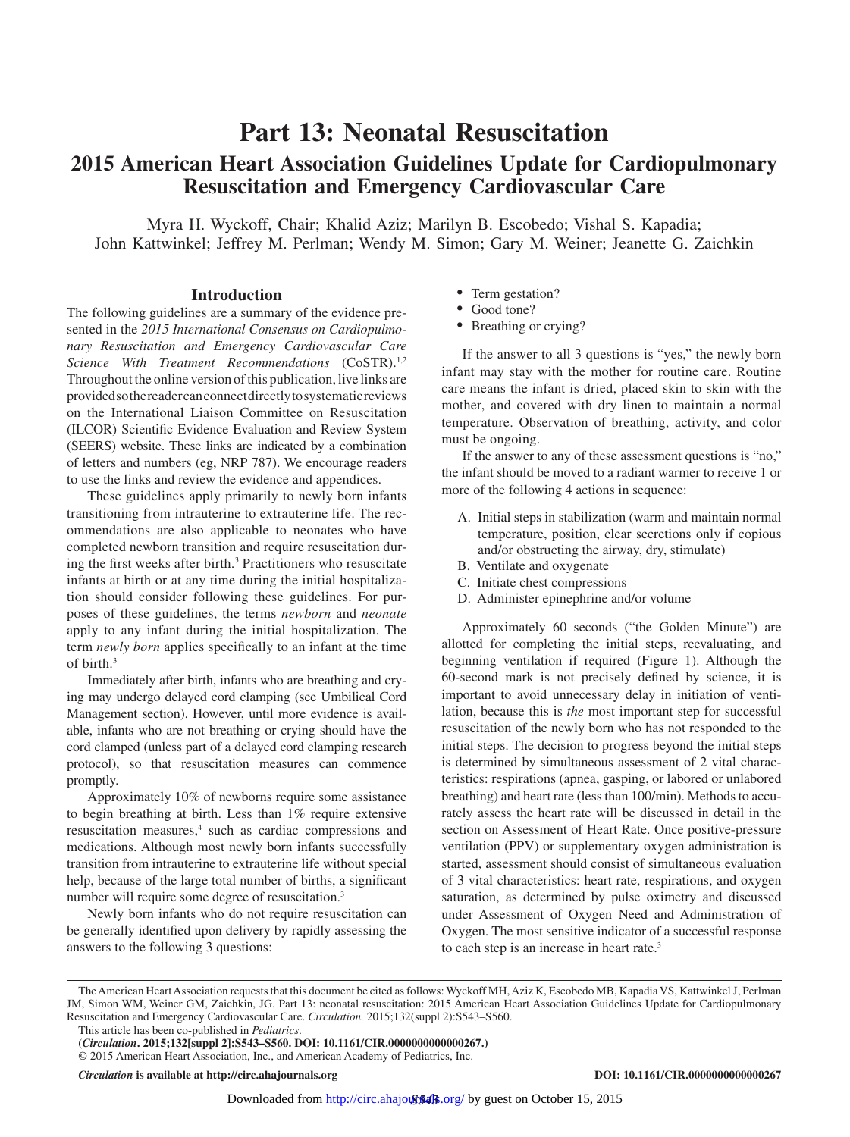# **Part 13: Neonatal Resuscitation 2015 American Heart Association Guidelines Update for Cardiopulmonary Resuscitation and Emergency Cardiovascular Care**

Myra H. Wyckoff, Chair; Khalid Aziz; Marilyn B. Escobedo; Vishal S. Kapadia; John Kattwinkel; Jeffrey M. Perlman; Wendy M. Simon; Gary M. Weiner; Jeanette G. Zaichkin

### **Introduction**

The following guidelines are a summary of the evidence presented in the *2015 International Consensus on Cardiopulmonary Resuscitation and Emergency Cardiovascular Care Science With Treatment Recommendations* (CoSTR).<sup>1,2</sup> Throughout the online version of this publication, live links are provided so the reader can connect directly to systematic reviews on the International Liaison Committee on Resuscitation (ILCOR) Scientific Evidence Evaluation and Review System (SEERS) website. These links are indicated by a combination of letters and numbers (eg, NRP 787). We encourage readers to use the links and review the evidence and appendices.

These guidelines apply primarily to newly born infants transitioning from intrauterine to extrauterine life. The recommendations are also applicable to neonates who have completed newborn transition and require resuscitation during the first weeks after birth.<sup>3</sup> Practitioners who resuscitate infants at birth or at any time during the initial hospitalization should consider following these guidelines. For purposes of these guidelines, the terms *newborn* and *neonate* apply to any infant during the initial hospitalization. The term *newly born* applies specifically to an infant at the time of birth.3

Immediately after birth, infants who are breathing and crying may undergo delayed cord clamping (see Umbilical Cord Management section). However, until more evidence is available, infants who are not breathing or crying should have the cord clamped (unless part of a delayed cord clamping research protocol), so that resuscitation measures can commence promptly.

Approximately 10% of newborns require some assistance to begin breathing at birth. Less than 1% require extensive resuscitation measures,<sup>4</sup> such as cardiac compressions and medications. Although most newly born infants successfully transition from intrauterine to extrauterine life without special help, because of the large total number of births, a significant number will require some degree of resuscitation.<sup>3</sup>

Newly born infants who do not require resuscitation can be generally identified upon delivery by rapidly assessing the answers to the following 3 questions:

- Term gestation?
- Good tone?
- Breathing or crying?

If the answer to all 3 questions is "yes," the newly born infant may stay with the mother for routine care. Routine care means the infant is dried, placed skin to skin with the mother, and covered with dry linen to maintain a normal temperature. Observation of breathing, activity, and color must be ongoing.

If the answer to any of these assessment questions is "no," the infant should be moved to a radiant warmer to receive 1 or more of the following 4 actions in sequence:

- A. Initial steps in stabilization (warm and maintain normal temperature, position, clear secretions only if copious and/or obstructing the airway, dry, stimulate)
- B. Ventilate and oxygenate
- C. Initiate chest compressions
- D. Administer epinephrine and/or volume

Approximately 60 seconds ("the Golden Minute") are allotted for completing the initial steps, reevaluating, and beginning ventilation if required (Figure 1). Although the 60-second mark is not precisely defined by science, it is important to avoid unnecessary delay in initiation of ventilation, because this is *the* most important step for successful resuscitation of the newly born who has not responded to the initial steps. The decision to progress beyond the initial steps is determined by simultaneous assessment of 2 vital characteristics: respirations (apnea, gasping, or labored or unlabored breathing) and heart rate (less than 100/min). Methods to accurately assess the heart rate will be discussed in detail in the section on Assessment of Heart Rate. Once positive-pressure ventilation (PPV) or supplementary oxygen administration is started, assessment should consist of simultaneous evaluation of 3 vital characteristics: heart rate, respirations, and oxygen saturation, as determined by pulse oximetry and discussed under Assessment of Oxygen Need and Administration of Oxygen. The most sensitive indicator of a successful response to each step is an increase in heart rate.<sup>3</sup>

*Circulation* **is available at http://circ.ahajournals.org DOI: 10.1161/CIR.0000000000000267**

The American Heart Association requests that this document be cited as follows: Wyckoff MH, Aziz K, Escobedo MB, Kapadia VS, Kattwinkel J, Perlman JM, Simon WM, Weiner GM, Zaichkin, JG. Part 13: neonatal resuscitation: 2015 American Heart Association Guidelines Update for Cardiopulmonary Resuscitation and Emergency Cardiovascular Care. *Circulation.* 2015;132(suppl 2):S543–S560.

This article has been co-published in *Pediatrics*.

**<sup>(</sup>***Circulation***. 2015;132[suppl 2]:S543–S560. DOI: 10.1161/CIR.0000000000000267.)** © 2015 American Heart Association, Inc., and American Academy of Pediatrics, Inc.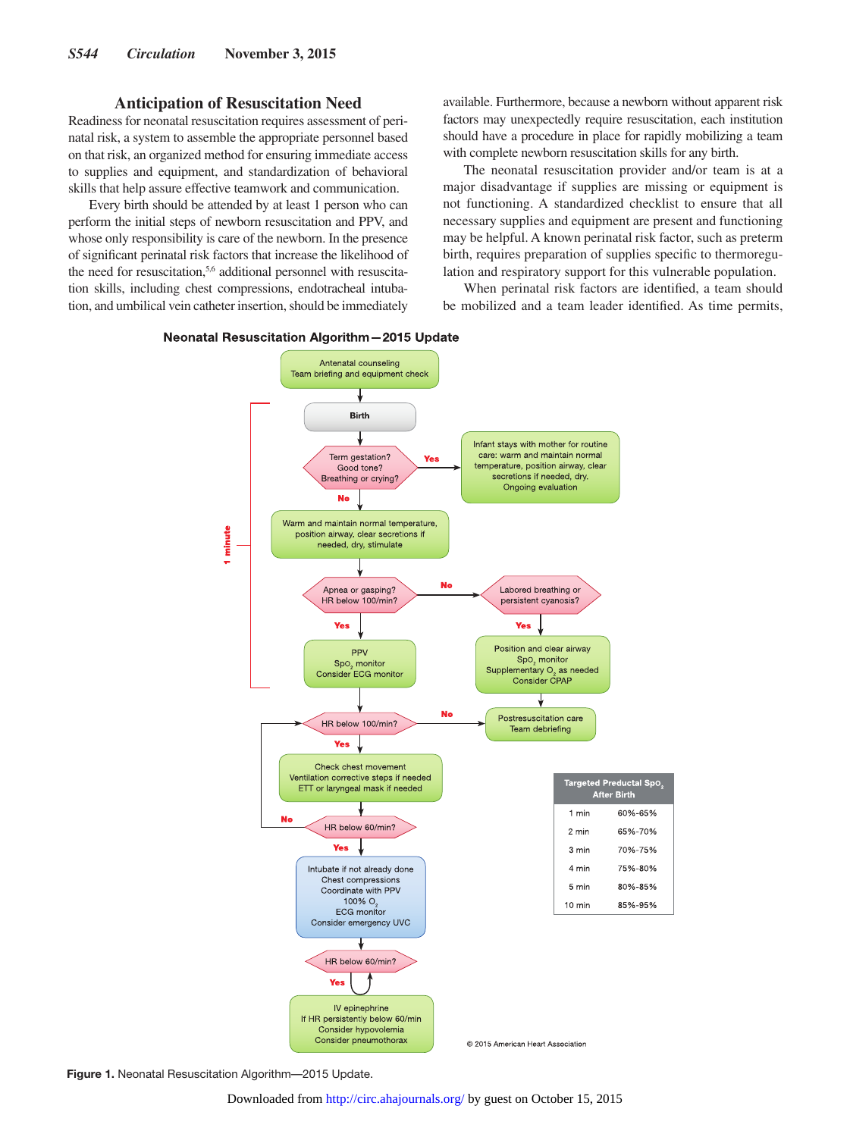### **Anticipation of Resuscitation Need**

Readiness for neonatal resuscitation requires assessment of perinatal risk, a system to assemble the appropriate personnel based on that risk, an organized method for ensuring immediate access to supplies and equipment, and standardization of behavioral skills that help assure effective teamwork and communication.

Every birth should be attended by at least 1 person who can perform the initial steps of newborn resuscitation and PPV, and whose only responsibility is care of the newborn. In the presence of significant perinatal risk factors that increase the likelihood of the need for resuscitation,<sup>5,6</sup> additional personnel with resuscitation skills, including chest compressions, endotracheal intubation, and umbilical vein catheter insertion, should be immediately available. Furthermore, because a newborn without apparent risk factors may unexpectedly require resuscitation, each institution should have a procedure in place for rapidly mobilizing a team with complete newborn resuscitation skills for any birth.

The neonatal resuscitation provider and/or team is at a major disadvantage if supplies are missing or equipment is not functioning. A standardized checklist to ensure that all necessary supplies and equipment are present and functioning may be helpful. A known perinatal risk factor, such as preterm birth, requires preparation of supplies specific to thermoregulation and respiratory support for this vulnerable population.

When perinatal risk factors are identified, a team should be mobilized and a team leader identified. As time permits,



#### Neonatal Resuscitation Algorithm-2015 Update

**Figure 1.** Neonatal Resuscitation Algorithm—2015 Update.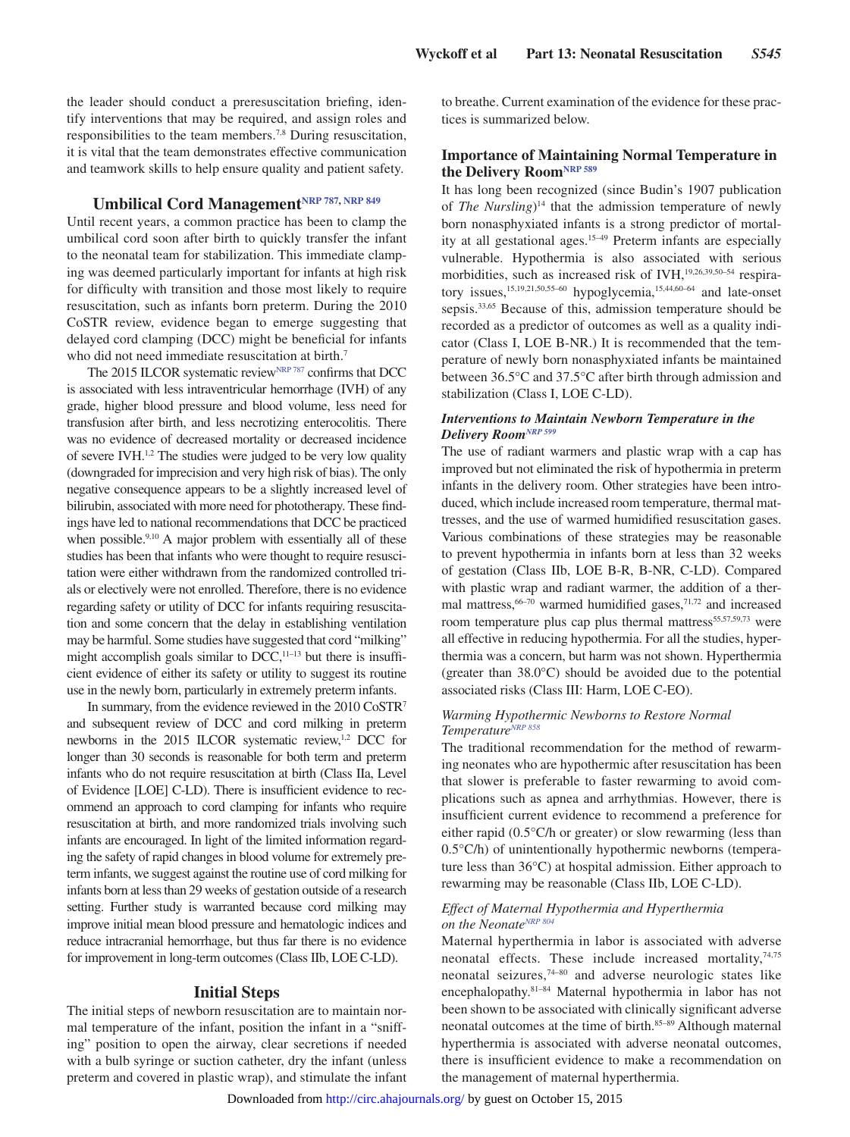the leader should conduct a preresuscitation briefing, identify interventions that may be required, and assign roles and responsibilities to the team members.<sup>7,8</sup> During resuscitation, it is vital that the team demonstrates effective communication and teamwork skills to help ensure quality and patient safety.

## **Umbilical Cord Management[NRP 787](https://volunteer.heart.org/apps/pico/Pages/PublicComment.aspx?q=787), [NRP 849](https://volunteer.heart.org/apps/pico/Pages/PublicComment.aspx?q=849)**

Until recent years, a common practice has been to clamp the umbilical cord soon after birth to quickly transfer the infant to the neonatal team for stabilization. This immediate clamping was deemed particularly important for infants at high risk for difficulty with transition and those most likely to require resuscitation, such as infants born preterm. During the 2010 CoSTR review, evidence began to emerge suggesting that delayed cord clamping (DCC) might be beneficial for infants who did not need immediate resuscitation at birth.<sup>7</sup>

The 2015 ILCOR systematic review<sup>NRP 787</sup> confirms that DCC is associated with less intraventricular hemorrhage (IVH) of any grade, higher blood pressure and blood volume, less need for transfusion after birth, and less necrotizing enterocolitis. There was no evidence of decreased mortality or decreased incidence of severe IVH.<sup>1,2</sup> The studies were judged to be very low quality (downgraded for imprecision and very high risk of bias). The only negative consequence appears to be a slightly increased level of bilirubin, associated with more need for phototherapy. These findings have led to national recommendations that DCC be practiced when possible.<sup>9,10</sup> A major problem with essentially all of these studies has been that infants who were thought to require resuscitation were either withdrawn from the randomized controlled trials or electively were not enrolled. Therefore, there is no evidence regarding safety or utility of DCC for infants requiring resuscitation and some concern that the delay in establishing ventilation may be harmful. Some studies have suggested that cord "milking" might accomplish goals similar to  $DCC$ ,<sup>11-13</sup> but there is insufficient evidence of either its safety or utility to suggest its routine use in the newly born, particularly in extremely preterm infants.

In summary, from the evidence reviewed in the 2010 CoSTR7 and subsequent review of DCC and cord milking in preterm newborns in the 2015 ILCOR systematic review,<sup>1,2</sup> DCC for longer than 30 seconds is reasonable for both term and preterm infants who do not require resuscitation at birth (Class IIa, Level of Evidence [LOE] C-LD). There is insufficient evidence to recommend an approach to cord clamping for infants who require resuscitation at birth, and more randomized trials involving such infants are encouraged. In light of the limited information regarding the safety of rapid changes in blood volume for extremely preterm infants, we suggest against the routine use of cord milking for infants born at less than 29 weeks of gestation outside of a research setting. Further study is warranted because cord milking may improve initial mean blood pressure and hematologic indices and reduce intracranial hemorrhage, but thus far there is no evidence for improvement in long-term outcomes (Class IIb, LOE C-LD).

### **Initial Steps**

The initial steps of newborn resuscitation are to maintain normal temperature of the infant, position the infant in a "sniffing" position to open the airway, clear secretions if needed with a bulb syringe or suction catheter, dry the infant (unless preterm and covered in plastic wrap), and stimulate the infant to breathe. Current examination of the evidence for these practices is summarized below.

### **Importance of Maintaining Normal Temperature in the Delivery Room[NRP 589](https://volunteer.heart.org/apps/pico/Pages/PublicComment.aspx?q=589)**

It has long been recognized (since Budin's 1907 publication of *The Nursling*) 14 that the admission temperature of newly born nonasphyxiated infants is a strong predictor of mortality at all gestational ages.15–49 Preterm infants are especially vulnerable. Hypothermia is also associated with serious morbidities, such as increased risk of IVH,<sup>19,26,39,50-54</sup> respiratory issues,<sup>15,19,21,50,55-60</sup> hypoglycemia,<sup>15,44,60-64</sup> and late-onset sepsis.<sup>33,65</sup> Because of this, admission temperature should be recorded as a predictor of outcomes as well as a quality indicator (Class I, LOE B-NR.) It is recommended that the temperature of newly born nonasphyxiated infants be maintained between 36.5°C and 37.5°C after birth through admission and stabilization (Class I, LOE C-LD).

### *Interventions to Maintain Newborn Temperature in the Delivery Roo[mNRP 599](https://volunteer.heart.org/apps/pico/Pages/PublicComment.aspx?q=599)*

The use of radiant warmers and plastic wrap with a cap has improved but not eliminated the risk of hypothermia in preterm infants in the delivery room. Other strategies have been introduced, which include increased room temperature, thermal mattresses, and the use of warmed humidified resuscitation gases. Various combinations of these strategies may be reasonable to prevent hypothermia in infants born at less than 32 weeks of gestation (Class IIb, LOE B-R, B-NR, C-LD). Compared with plastic wrap and radiant warmer, the addition of a thermal mattress, $66-70$  warmed humidified gases, $71,72$  and increased room temperature plus cap plus thermal mattress<sup>55,57,59,73</sup> were all effective in reducing hypothermia. For all the studies, hyperthermia was a concern, but harm was not shown. Hyperthermia (greater than 38.0°C) should be avoided due to the potential associated risks (Class III: Harm, LOE C-EO).

### *Warming Hypothermic Newborns to Restore Normal Temperature[NRP 858](https://volunteer.heart.org/apps/pico/Pages/PublicComment.aspx?q=858)*

The traditional recommendation for the method of rewarming neonates who are hypothermic after resuscitation has been that slower is preferable to faster rewarming to avoid complications such as apnea and arrhythmias. However, there is insufficient current evidence to recommend a preference for either rapid (0.5°C/h or greater) or slow rewarming (less than 0.5°C/h) of unintentionally hypothermic newborns (temperature less than 36°C) at hospital admission. Either approach to rewarming may be reasonable (Class IIb, LOE C-LD).

### *Effect of Maternal Hypothermia and Hyperthermia on the Neonate[NRP 804](https://volunteer.heart.org/apps/pico/Pages/PublicComment.aspx?q=804)*

Maternal hyperthermia in labor is associated with adverse neonatal effects. These include increased mortality,<sup>74,75</sup> neonatal seizures,74–80 and adverse neurologic states like encephalopathy.81–84 Maternal hypothermia in labor has not been shown to be associated with clinically significant adverse neonatal outcomes at the time of birth.<sup>85-89</sup> Although maternal hyperthermia is associated with adverse neonatal outcomes, there is insufficient evidence to make a recommendation on the management of maternal hyperthermia.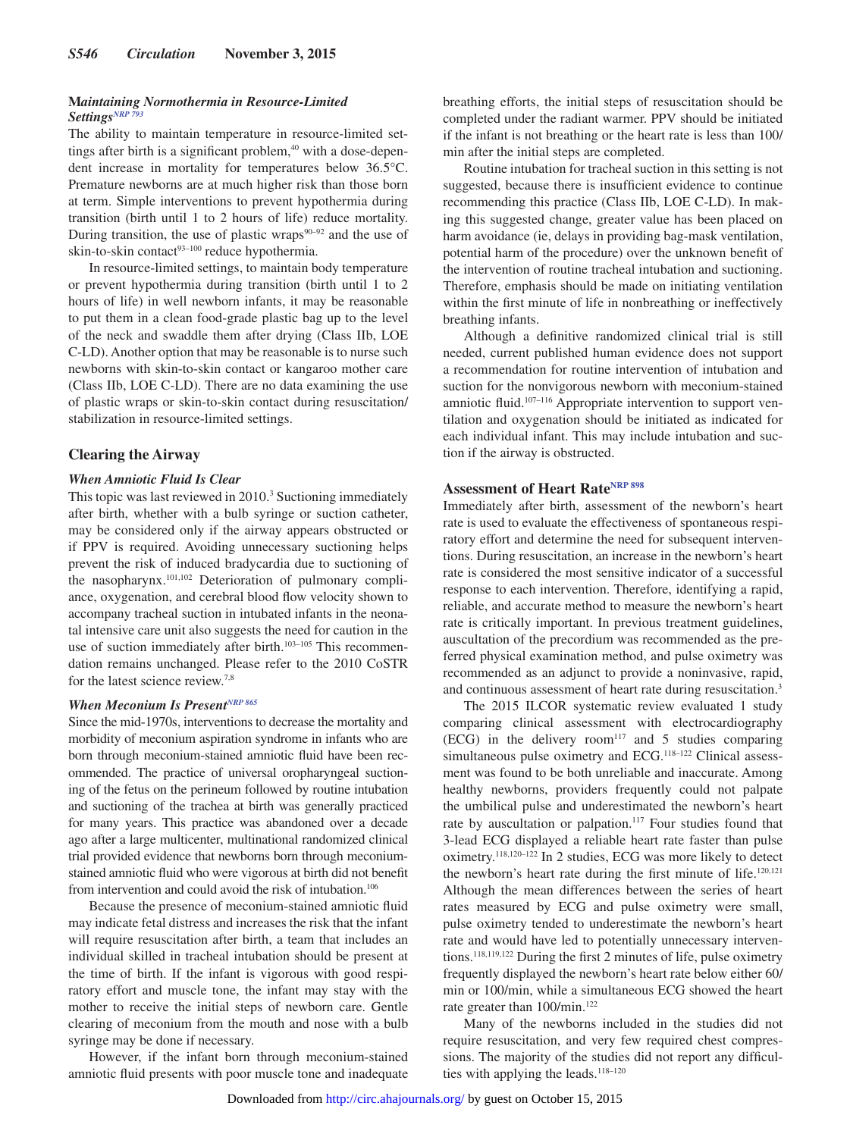### **M***aintaining Normothermia in Resource-Limited*  Setting<sub>*SNRP* 793</sup></sub>

The ability to maintain temperature in resource-limited settings after birth is a significant problem,<sup>40</sup> with a dose-dependent increase in mortality for temperatures below 36.5°C. Premature newborns are at much higher risk than those born at term. Simple interventions to prevent hypothermia during transition (birth until 1 to 2 hours of life) reduce mortality. During transition, the use of plastic wraps $90-92$  and the use of skin-to-skin contact $93-100$  reduce hypothermia.

In resource-limited settings, to maintain body temperature or prevent hypothermia during transition (birth until 1 to 2 hours of life) in well newborn infants, it may be reasonable to put them in a clean food-grade plastic bag up to the level of the neck and swaddle them after drying (Class IIb, LOE C-LD). Another option that may be reasonable is to nurse such newborns with skin-to-skin contact or kangaroo mother care (Class IIb, LOE C-LD). There are no data examining the use of plastic wraps or skin-to-skin contact during resuscitation/ stabilization in resource-limited settings.

## **Clearing the Airway**

### *When Amniotic Fluid Is Clear*

This topic was last reviewed in 2010.<sup>3</sup> Suctioning immediately after birth, whether with a bulb syringe or suction catheter, may be considered only if the airway appears obstructed or if PPV is required. Avoiding unnecessary suctioning helps prevent the risk of induced bradycardia due to suctioning of the nasopharynx.101,102 Deterioration of pulmonary compliance, oxygenation, and cerebral blood flow velocity shown to accompany tracheal suction in intubated infants in the neonatal intensive care unit also suggests the need for caution in the use of suction immediately after birth.<sup>103-105</sup> This recommendation remains unchanged. Please refer to the 2010 CoSTR for the latest science review.7,8

### *When Meconium Is Present[NRP 865](https://volunteer.heart.org/apps/pico/Pages/PublicComment.aspx?q=865)*

Since the mid-1970s, interventions to decrease the mortality and morbidity of meconium aspiration syndrome in infants who are born through meconium-stained amniotic fluid have been recommended. The practice of universal oropharyngeal suctioning of the fetus on the perineum followed by routine intubation and suctioning of the trachea at birth was generally practiced for many years. This practice was abandoned over a decade ago after a large multicenter, multinational randomized clinical trial provided evidence that newborns born through meconiumstained amniotic fluid who were vigorous at birth did not benefit from intervention and could avoid the risk of intubation.<sup>106</sup>

Because the presence of meconium-stained amniotic fluid may indicate fetal distress and increases the risk that the infant will require resuscitation after birth, a team that includes an individual skilled in tracheal intubation should be present at the time of birth. If the infant is vigorous with good respiratory effort and muscle tone, the infant may stay with the mother to receive the initial steps of newborn care. Gentle clearing of meconium from the mouth and nose with a bulb syringe may be done if necessary.

However, if the infant born through meconium-stained amniotic fluid presents with poor muscle tone and inadequate

breathing efforts, the initial steps of resuscitation should be completed under the radiant warmer. PPV should be initiated if the infant is not breathing or the heart rate is less than 100/ min after the initial steps are completed.

Routine intubation for tracheal suction in this setting is not suggested, because there is insufficient evidence to continue recommending this practice (Class IIb, LOE C-LD). In making this suggested change, greater value has been placed on harm avoidance (ie, delays in providing bag-mask ventilation, potential harm of the procedure) over the unknown benefit of the intervention of routine tracheal intubation and suctioning. Therefore, emphasis should be made on initiating ventilation within the first minute of life in nonbreathing or ineffectively breathing infants.

Although a definitive randomized clinical trial is still needed, current published human evidence does not support a recommendation for routine intervention of intubation and suction for the nonvigorous newborn with meconium-stained amniotic fluid.<sup>107-116</sup> Appropriate intervention to support ventilation and oxygenation should be initiated as indicated for each individual infant. This may include intubation and suction if the airway is obstructed.

### **Assessment of Heart Rat[eNRP 898](https://volunteer.heart.org/apps/pico/Pages/PublicComment.aspx?q=898)**

Immediately after birth, assessment of the newborn's heart rate is used to evaluate the effectiveness of spontaneous respiratory effort and determine the need for subsequent interventions. During resuscitation, an increase in the newborn's heart rate is considered the most sensitive indicator of a successful response to each intervention. Therefore, identifying a rapid, reliable, and accurate method to measure the newborn's heart rate is critically important. In previous treatment guidelines, auscultation of the precordium was recommended as the preferred physical examination method, and pulse oximetry was recommended as an adjunct to provide a noninvasive, rapid, and continuous assessment of heart rate during resuscitation.<sup>3</sup>

The 2015 ILCOR systematic review evaluated 1 study comparing clinical assessment with electrocardiography  $(ECG)$  in the delivery room<sup>117</sup> and 5 studies comparing simultaneous pulse oximetry and ECG.<sup>118-122</sup> Clinical assessment was found to be both unreliable and inaccurate. Among healthy newborns, providers frequently could not palpate the umbilical pulse and underestimated the newborn's heart rate by auscultation or palpation.<sup>117</sup> Four studies found that 3-lead ECG displayed a reliable heart rate faster than pulse oximetry.118,120–122 In 2 studies, ECG was more likely to detect the newborn's heart rate during the first minute of life.<sup>120,121</sup> Although the mean differences between the series of heart rates measured by ECG and pulse oximetry were small, pulse oximetry tended to underestimate the newborn's heart rate and would have led to potentially unnecessary interventions.118,119,122 During the first 2 minutes of life, pulse oximetry frequently displayed the newborn's heart rate below either 60/ min or 100/min, while a simultaneous ECG showed the heart rate greater than 100/min.122

Many of the newborns included in the studies did not require resuscitation, and very few required chest compressions. The majority of the studies did not report any difficulties with applying the leads. $118-120$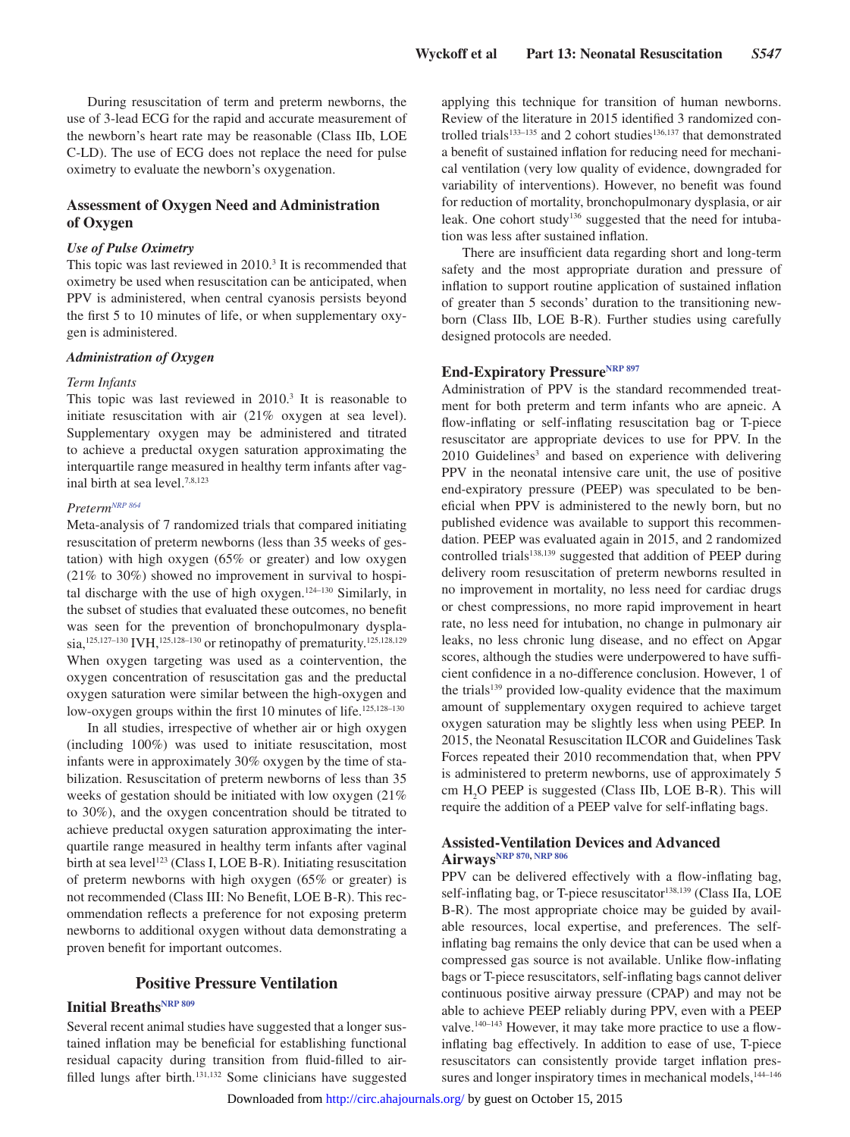During resuscitation of term and preterm newborns, the use of 3-lead ECG for the rapid and accurate measurement of the newborn's heart rate may be reasonable (Class IIb, LOE C-LD). The use of ECG does not replace the need for pulse oximetry to evaluate the newborn's oxygenation.

### **Assessment of Oxygen Need and Administration of Oxygen**

### *Use of Pulse Oximetry*

This topic was last reviewed in 2010.<sup>3</sup> It is recommended that oximetry be used when resuscitation can be anticipated, when PPV is administered, when central cyanosis persists beyond the first 5 to 10 minutes of life, or when supplementary oxygen is administered.

### *Administration of Oxygen*

### *Term Infants*

This topic was last reviewed in 2010.<sup>3</sup> It is reasonable to initiate resuscitation with air (21% oxygen at sea level). Supplementary oxygen may be administered and titrated to achieve a preductal oxygen saturation approximating the interquartile range measured in healthy term infants after vaginal birth at sea level.7,8,123

### *Preterm[NRP 864](https://volunteer.heart.org/apps/pico/Pages/PublicComment.aspx?q=864)*

Meta-analysis of 7 randomized trials that compared initiating resuscitation of preterm newborns (less than 35 weeks of gestation) with high oxygen (65% or greater) and low oxygen (21% to 30%) showed no improvement in survival to hospital discharge with the use of high oxygen. $124-130$  Similarly, in the subset of studies that evaluated these outcomes, no benefit was seen for the prevention of bronchopulmonary dysplasia,<sup>125,127–130</sup> IVH,<sup>125,128–130</sup> or retinopathy of prematurity.<sup>125,128,129</sup> When oxygen targeting was used as a cointervention, the oxygen concentration of resuscitation gas and the preductal oxygen saturation were similar between the high-oxygen and low-oxygen groups within the first 10 minutes of life.<sup>125,128-130</sup>

In all studies, irrespective of whether air or high oxygen (including 100%) was used to initiate resuscitation, most infants were in approximately 30% oxygen by the time of stabilization. Resuscitation of preterm newborns of less than 35 weeks of gestation should be initiated with low oxygen (21% to 30%), and the oxygen concentration should be titrated to achieve preductal oxygen saturation approximating the interquartile range measured in healthy term infants after vaginal birth at sea level<sup>123</sup> (Class I, LOE B-R). Initiating resuscitation of preterm newborns with high oxygen (65% or greater) is not recommended (Class III: No Benefit, LOE B-R). This recommendation reflects a preference for not exposing preterm newborns to additional oxygen without data demonstrating a proven benefit for important outcomes.

## **Positive Pressure Ventilation**

## **Initial Breaths[NRP 809](https://volunteer.heart.org/apps/pico/Pages/PublicComment.aspx?q=809)**

Several recent animal studies have suggested that a longer sustained inflation may be beneficial for establishing functional residual capacity during transition from fluid-filled to airfilled lungs after birth.<sup>131,132</sup> Some clinicians have suggested applying this technique for transition of human newborns. Review of the literature in 2015 identified 3 randomized controlled trials<sup>133-135</sup> and 2 cohort studies<sup>136,137</sup> that demonstrated a benefit of sustained inflation for reducing need for mechanical ventilation (very low quality of evidence, downgraded for variability of interventions). However, no benefit was found for reduction of mortality, bronchopulmonary dysplasia, or air leak. One cohort study<sup>136</sup> suggested that the need for intubation was less after sustained inflation.

There are insufficient data regarding short and long-term safety and the most appropriate duration and pressure of inflation to support routine application of sustained inflation of greater than 5 seconds' duration to the transitioning newborn (Class IIb, LOE B-R). Further studies using carefully designed protocols are needed.

### **End-Expiratory Pressure**NRP 897

Administration of PPV is the standard recommended treatment for both preterm and term infants who are apneic. A flow-inflating or self-inflating resuscitation bag or T-piece resuscitator are appropriate devices to use for PPV. In the 2010 Guidelines<sup>3</sup> and based on experience with delivering PPV in the neonatal intensive care unit, the use of positive end-expiratory pressure (PEEP) was speculated to be beneficial when PPV is administered to the newly born, but no published evidence was available to support this recommendation. PEEP was evaluated again in 2015, and 2 randomized controlled trials $138,139$  suggested that addition of PEEP during delivery room resuscitation of preterm newborns resulted in no improvement in mortality, no less need for cardiac drugs or chest compressions, no more rapid improvement in heart rate, no less need for intubation, no change in pulmonary air leaks, no less chronic lung disease, and no effect on Apgar scores, although the studies were underpowered to have sufficient confidence in a no-difference conclusion. However, 1 of the trials<sup>139</sup> provided low-quality evidence that the maximum amount of supplementary oxygen required to achieve target oxygen saturation may be slightly less when using PEEP. In 2015, the Neonatal Resuscitation ILCOR and Guidelines Task Forces repeated their 2010 recommendation that, when PPV is administered to preterm newborns, use of approximately 5 cm H<sub>2</sub>O PEEP is suggested (Class IIb, LOE B-R). This will require the addition of a PEEP valve for self-inflating bags.

### **Assisted-Ventilation Devices and Advanced Airway[sNRP 870,](https://volunteer.heart.org/apps/pico/Pages/PublicComment.aspx?q=870) [NRP 806](https://volunteer.heart.org/apps/pico/Pages/PublicComment.aspx?q=806)**

PPV can be delivered effectively with a flow-inflating bag, self-inflating bag, or T-piece resuscitator<sup>138,139</sup> (Class IIa, LOE B-R). The most appropriate choice may be guided by available resources, local expertise, and preferences. The selfinflating bag remains the only device that can be used when a compressed gas source is not available. Unlike flow-inflating bags or T-piece resuscitators, self-inflating bags cannot deliver continuous positive airway pressure (CPAP) and may not be able to achieve PEEP reliably during PPV, even with a PEEP valve.<sup>140–143</sup> However, it may take more practice to use a flowinflating bag effectively. In addition to ease of use, T-piece resuscitators can consistently provide target inflation pressures and longer inspiratory times in mechanical models,  $144-146$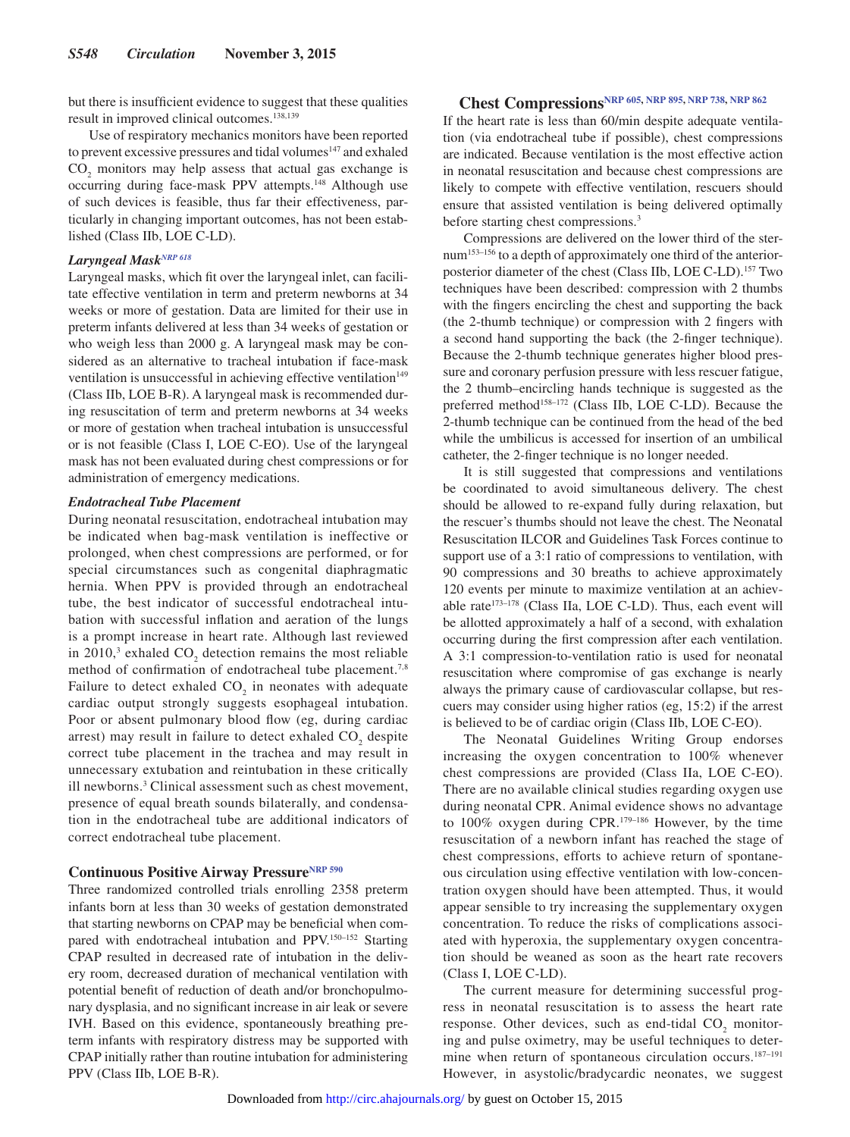but there is insufficient evidence to suggest that these qualities result in improved clinical outcomes.<sup>138,139</sup>

Use of respiratory mechanics monitors have been reported to prevent excessive pressures and tidal volumes<sup>147</sup> and exhaled  $CO<sub>2</sub>$  monitors may help assess that actual gas exchange is occurring during face-mask PPV attempts.148 Although use of such devices is feasible, thus far their effectiveness, particularly in changing important outcomes, has not been established (Class IIb, LOE C-LD).

### *Laryngeal Mas[kNRP 618](https://volunteer.heart.org/apps/pico/Pages/PublicComment.aspx?q=618)*

Laryngeal masks, which fit over the laryngeal inlet, can facilitate effective ventilation in term and preterm newborns at 34 weeks or more of gestation. Data are limited for their use in preterm infants delivered at less than 34 weeks of gestation or who weigh less than 2000 g. A laryngeal mask may be considered as an alternative to tracheal intubation if face-mask ventilation is unsuccessful in achieving effective ventilation<sup>149</sup> (Class IIb, LOE B-R). A laryngeal mask is recommended during resuscitation of term and preterm newborns at 34 weeks or more of gestation when tracheal intubation is unsuccessful or is not feasible (Class I, LOE C-EO). Use of the laryngeal mask has not been evaluated during chest compressions or for administration of emergency medications.

### *Endotracheal Tube Placement*

During neonatal resuscitation, endotracheal intubation may be indicated when bag-mask ventilation is ineffective or prolonged, when chest compressions are performed, or for special circumstances such as congenital diaphragmatic hernia. When PPV is provided through an endotracheal tube, the best indicator of successful endotracheal intubation with successful inflation and aeration of the lungs is a prompt increase in heart rate. Although last reviewed in 2010,<sup>3</sup> exhaled  $CO_2$  detection remains the most reliable method of confirmation of endotracheal tube placement.<sup>7,8</sup> Failure to detect exhaled  $CO<sub>2</sub>$  in neonates with adequate cardiac output strongly suggests esophageal intubation. Poor or absent pulmonary blood flow (eg, during cardiac arrest) may result in failure to detect exhaled  $CO<sub>2</sub>$  despite correct tube placement in the trachea and may result in unnecessary extubation and reintubation in these critically ill newborns.3 Clinical assessment such as chest movement, presence of equal breath sounds bilaterally, and condensation in the endotracheal tube are additional indicators of correct endotracheal tube placement.

## **Continuous Positive Airway Pressure[NRP 590](https://volunteer.heart.org/apps/pico/Pages/PublicComment.aspx?q=590)**

Three randomized controlled trials enrolling 2358 preterm infants born at less than 30 weeks of gestation demonstrated that starting newborns on CPAP may be beneficial when compared with endotracheal intubation and PPV.<sup>150–152</sup> Starting CPAP resulted in decreased rate of intubation in the delivery room, decreased duration of mechanical ventilation with potential benefit of reduction of death and/or bronchopulmonary dysplasia, and no significant increase in air leak or severe IVH. Based on this evidence, spontaneously breathing preterm infants with respiratory distress may be supported with CPAP initially rather than routine intubation for administering PPV (Class IIb, LOE B-R).

# **Chest Compressions[NRP 605](https://volunteer.heart.org/apps/pico/Pages/PublicComment.aspx?q=605), [NRP 895](https://volunteer.heart.org/apps/pico/Pages/PublicComment.aspx?q=895), [NRP 738](https://volunteer.heart.org/apps/pico/Pages/PublicComment.aspx?q=738), [NRP 862](https://volunteer.heart.org/apps/pico/Pages/PublicComment.aspx?q=862)**

If the heart rate is less than 60/min despite adequate ventilation (via endotracheal tube if possible), chest compressions are indicated. Because ventilation is the most effective action in neonatal resuscitation and because chest compressions are likely to compete with effective ventilation, rescuers should ensure that assisted ventilation is being delivered optimally before starting chest compressions.3

Compressions are delivered on the lower third of the sternum153–156 to a depth of approximately one third of the anteriorposterior diameter of the chest (Class IIb, LOE C-LD).157 Two techniques have been described: compression with 2 thumbs with the fingers encircling the chest and supporting the back (the 2-thumb technique) or compression with 2 fingers with a second hand supporting the back (the 2-finger technique). Because the 2-thumb technique generates higher blood pressure and coronary perfusion pressure with less rescuer fatigue, the 2 thumb–encircling hands technique is suggested as the preferred method<sup>158-172</sup> (Class IIb, LOE C-LD). Because the 2-thumb technique can be continued from the head of the bed while the umbilicus is accessed for insertion of an umbilical catheter, the 2-finger technique is no longer needed.

It is still suggested that compressions and ventilations be coordinated to avoid simultaneous delivery. The chest should be allowed to re-expand fully during relaxation, but the rescuer's thumbs should not leave the chest. The Neonatal Resuscitation ILCOR and Guidelines Task Forces continue to support use of a 3:1 ratio of compressions to ventilation, with 90 compressions and 30 breaths to achieve approximately 120 events per minute to maximize ventilation at an achievable rate<sup>173-178</sup> (Class IIa, LOE C-LD). Thus, each event will be allotted approximately a half of a second, with exhalation occurring during the first compression after each ventilation. A 3:1 compression-to-ventilation ratio is used for neonatal resuscitation where compromise of gas exchange is nearly always the primary cause of cardiovascular collapse, but rescuers may consider using higher ratios (eg, 15:2) if the arrest is believed to be of cardiac origin (Class IIb, LOE C-EO).

The Neonatal Guidelines Writing Group endorses increasing the oxygen concentration to 100% whenever chest compressions are provided (Class IIa, LOE C-EO). There are no available clinical studies regarding oxygen use during neonatal CPR. Animal evidence shows no advantage to 100% oxygen during CPR.<sup>179-186</sup> However, by the time resuscitation of a newborn infant has reached the stage of chest compressions, efforts to achieve return of spontaneous circulation using effective ventilation with low-concentration oxygen should have been attempted. Thus, it would appear sensible to try increasing the supplementary oxygen concentration. To reduce the risks of complications associated with hyperoxia, the supplementary oxygen concentration should be weaned as soon as the heart rate recovers (Class I, LOE C-LD).

The current measure for determining successful progress in neonatal resuscitation is to assess the heart rate response. Other devices, such as end-tidal  $CO<sub>2</sub>$  monitoring and pulse oximetry, may be useful techniques to determine when return of spontaneous circulation occurs.<sup>187-191</sup> However, in asystolic/bradycardic neonates, we suggest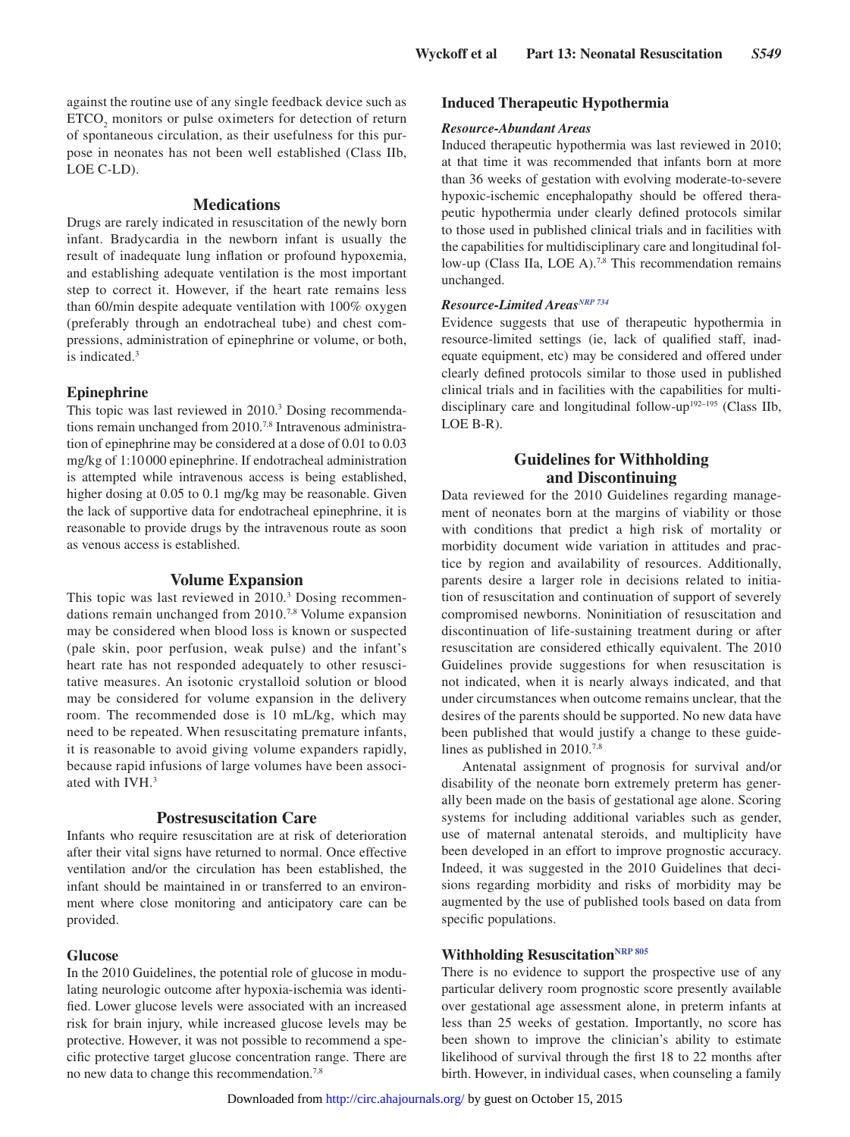against the routine use of any single feedback device such as  $ETCO<sub>2</sub>$  monitors or pulse oximeters for detection of return of spontaneous circulation, as their usefulness for this purpose in neonates has not been well established (Class IIb, LOE C-LD).

### **Medications**

Drugs are rarely indicated in resuscitation of the newly born infant. Bradycardia in the newborn infant is usually the result of inadequate lung inflation or profound hypoxemia, and establishing adequate ventilation is the most important step to correct it. However, if the heart rate remains less than 60/min despite adequate ventilation with 100% oxygen (preferably through an endotracheal tube) and chest compressions, administration of epinephrine or volume, or both, is indicated.<sup>3</sup>

### **Epinephrine**

This topic was last reviewed in 2010.3 Dosing recommendations remain unchanged from 2010.<sup>7,8</sup> Intravenous administration of epinephrine may be considered at a dose of 0.01 to 0.03 mg/kg of 1:10 000 epinephrine. If endotracheal administration is attempted while intravenous access is being established, higher dosing at 0.05 to 0.1 mg/kg may be reasonable. Given the lack of supportive data for endotracheal epinephrine, it is reasonable to provide drugs by the intravenous route as soon as venous access is established.

### **Volume Expansion**

This topic was last reviewed in 2010.<sup>3</sup> Dosing recommendations remain unchanged from 2010.7,8 Volume expansion may be considered when blood loss is known or suspected (pale skin, poor perfusion, weak pulse) and the infant's heart rate has not responded adequately to other resuscitative measures. An isotonic crystalloid solution or blood may be considered for volume expansion in the delivery room. The recommended dose is 10 mL/kg, which may need to be repeated. When resuscitating premature infants, it is reasonable to avoid giving volume expanders rapidly, because rapid infusions of large volumes have been associated with IVH.3

### **Postresuscitation Care**

Infants who require resuscitation are at risk of deterioration after their vital signs have returned to normal. Once effective ventilation and/or the circulation has been established, the infant should be maintained in or transferred to an environment where close monitoring and anticipatory care can be provided.

### **Glucose**

In the 2010 Guidelines, the potential role of glucose in modulating neurologic outcome after hypoxia-ischemia was identified. Lower glucose levels were associated with an increased risk for brain injury, while increased glucose levels may be protective. However, it was not possible to recommend a specific protective target glucose concentration range. There are no new data to change this recommendation.7,8

### **Induced Therapeutic Hypothermia**

### *Resource-Abundant Areas*

Induced therapeutic hypothermia was last reviewed in 2010; at that time it was recommended that infants born at more than 36 weeks of gestation with evolving moderate-to-severe hypoxic-ischemic encephalopathy should be offered therapeutic hypothermia under clearly defined protocols similar to those used in published clinical trials and in facilities with the capabilities for multidisciplinary care and longitudinal follow-up (Class IIa, LOE A).<sup>7,8</sup> This recommendation remains unchanged.

# $$

Evidence suggests that use of therapeutic hypothermia in resource-limited settings (ie, lack of qualified staff, inadequate equipment, etc) may be considered and offered under clearly defined protocols similar to those used in published clinical trials and in facilities with the capabilities for multidisciplinary care and longitudinal follow-up<sup>192-195</sup> (Class IIb, LOE B-R).

## **Guidelines for Withholding and Discontinuing**

Data reviewed for the 2010 Guidelines regarding management of neonates born at the margins of viability or those with conditions that predict a high risk of mortality or morbidity document wide variation in attitudes and practice by region and availability of resources. Additionally, parents desire a larger role in decisions related to initiation of resuscitation and continuation of support of severely compromised newborns. Noninitiation of resuscitation and discontinuation of life-sustaining treatment during or after resuscitation are considered ethically equivalent. The 2010 Guidelines provide suggestions for when resuscitation is not indicated, when it is nearly always indicated, and that under circumstances when outcome remains unclear, that the desires of the parents should be supported. No new data have been published that would justify a change to these guidelines as published in 2010.<sup>7,8</sup>

Antenatal assignment of prognosis for survival and/or disability of the neonate born extremely preterm has generally been made on the basis of gestational age alone. Scoring systems for including additional variables such as gender, use of maternal antenatal steroids, and multiplicity have been developed in an effort to improve prognostic accuracy. Indeed, it was suggested in the 2010 Guidelines that decisions regarding morbidity and risks of morbidity may be augmented by the use of published tools based on data from specific populations.

## **Withholding Resuscitation**NRP 805

There is no evidence to support the prospective use of any particular delivery room prognostic score presently available over gestational age assessment alone, in preterm infants at less than 25 weeks of gestation. Importantly, no score has been shown to improve the clinician's ability to estimate likelihood of survival through the first 18 to 22 months after birth. However, in individual cases, when counseling a family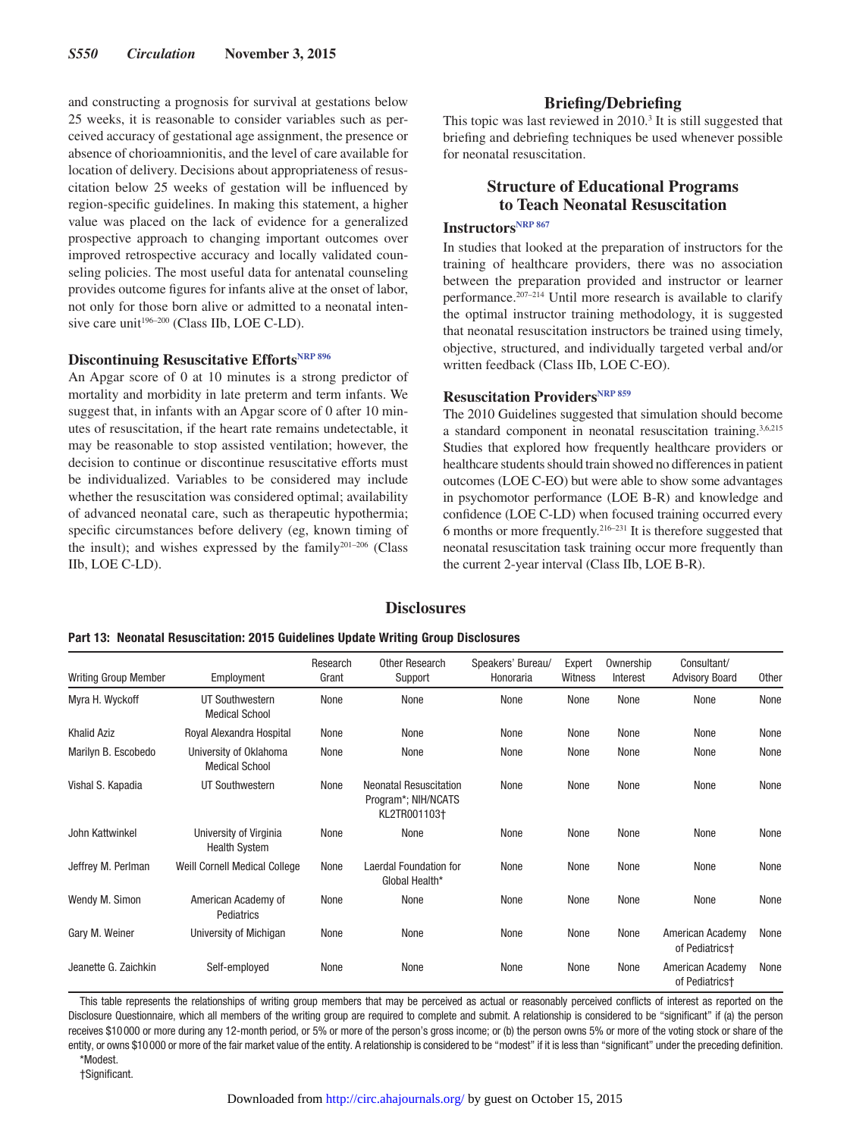and constructing a prognosis for survival at gestations below 25 weeks, it is reasonable to consider variables such as perceived accuracy of gestational age assignment, the presence or absence of chorioamnionitis, and the level of care available for location of delivery. Decisions about appropriateness of resuscitation below 25 weeks of gestation will be influenced by region-specific guidelines. In making this statement, a higher value was placed on the lack of evidence for a generalized prospective approach to changing important outcomes over improved retrospective accuracy and locally validated counseling policies. The most useful data for antenatal counseling provides outcome figures for infants alive at the onset of labor, not only for those born alive or admitted to a neonatal intensive care unit $196-200$  (Class IIb, LOE C-LD).

## **Discontinuing Resuscitative Efforts[NRP 896](https://volunteer.heart.org/apps/pico/Pages/PublicComment.aspx?q=896)**

An Apgar score of 0 at 10 minutes is a strong predictor of mortality and morbidity in late preterm and term infants. We suggest that, in infants with an Apgar score of 0 after 10 minutes of resuscitation, if the heart rate remains undetectable, it may be reasonable to stop assisted ventilation; however, the decision to continue or discontinue resuscitative efforts must be individualized. Variables to be considered may include whether the resuscitation was considered optimal; availability of advanced neonatal care, such as therapeutic hypothermia; specific circumstances before delivery (eg, known timing of the insult); and wishes expressed by the family $201-206$  (Class IIb, LOE C-LD).

## **Briefing/Debriefing**

This topic was last reviewed in 2010.<sup>3</sup> It is still suggested that briefing and debriefing techniques be used whenever possible for neonatal resuscitation.

## **Structure of Educational Programs to Teach Neonatal Resuscitation**

# **Instructors**<sup>NRP 867</sup>

In studies that looked at the preparation of instructors for the training of healthcare providers, there was no association between the preparation provided and instructor or learner performance.207–214 Until more research is available to clarify the optimal instructor training methodology, it is suggested that neonatal resuscitation instructors be trained using timely, objective, structured, and individually targeted verbal and/or written feedback (Class IIb, LOE C-EO).

## **Resuscitation Providers<sup>NRP 859</sup>**

The 2010 Guidelines suggested that simulation should become a standard component in neonatal resuscitation training.3,6,215 Studies that explored how frequently healthcare providers or healthcare students should train showed no differences in patient outcomes (LOE C-EO) but were able to show some advantages in psychomotor performance (LOE B-R) and knowledge and confidence (LOE C-LD) when focused training occurred every 6 months or more frequently.216–231 It is therefore suggested that neonatal resuscitation task training occur more frequently than the current 2-year interval (Class IIb, LOE B-R).

## **Disclosures**

| Part 13: Neonatal Resuscitation: 2015 Guidelines Update Writing Group Disclosures |  |  |
|-----------------------------------------------------------------------------------|--|--|
|-----------------------------------------------------------------------------------|--|--|

| <b>Writing Group Member</b> | Employment                                      | Research<br>Grant | Other Research<br>Support                                            | Speakers' Bureau/<br>Honoraria | Expert<br>Witness | Ownership<br>Interest | Consultant/<br><b>Advisory Board</b>           | Other |
|-----------------------------|-------------------------------------------------|-------------------|----------------------------------------------------------------------|--------------------------------|-------------------|-----------------------|------------------------------------------------|-------|
| Myra H. Wyckoff             | UT Southwestern<br><b>Medical School</b>        | None              | None                                                                 | None                           | None              | None                  | None                                           | None  |
| <b>Khalid Aziz</b>          | Royal Alexandra Hospital                        | None              | None                                                                 | None                           | None              | None                  | None                                           | None  |
| Marilyn B. Escobedo         | University of Oklahoma<br><b>Medical School</b> | None              | None                                                                 | None                           | None              | None                  | None                                           | None  |
| Vishal S. Kapadia           | <b>UT Southwestern</b>                          | None              | <b>Neonatal Resuscitation</b><br>Program*; NIH/NCATS<br>KL2TR001103+ | None                           | None              | None                  | None                                           | None  |
| John Kattwinkel             | University of Virginia<br><b>Health System</b>  | None              | None                                                                 | None                           | None              | None                  | None                                           | None  |
| Jeffrey M. Perlman          | Weill Cornell Medical College                   | None              | Laerdal Foundation for<br>Global Health*                             | None                           | None              | None                  | None                                           | None  |
| Wendy M. Simon              | American Academy of<br>Pediatrics               | None              | None                                                                 | None                           | None              | None                  | None                                           | None  |
| Gary M. Weiner              | University of Michigan                          | None              | None                                                                 | None                           | None              | None                  | American Academy<br>of Pediatrics†             | None  |
| Jeanette G. Zaichkin        | Self-employed                                   | None              | None                                                                 | None                           | None              | None                  | American Academy<br>of Pediatrics <sup>+</sup> | None  |

This table represents the relationships of writing group members that may be perceived as actual or reasonably perceived conflicts of interest as reported on the Disclosure Questionnaire, which all members of the writing group are required to complete and submit. A relationship is considered to be "significant" if (a) the person receives \$10000 or more during any 12-month period, or 5% or more of the person's gross income; or (b) the person owns 5% or more of the voting stock or share of the entity, or owns \$10000 or more of the fair market value of the entity. A relationship is considered to be "modest" if it is less than "significant" under the preceding definition.

\*Modest.

†Significant.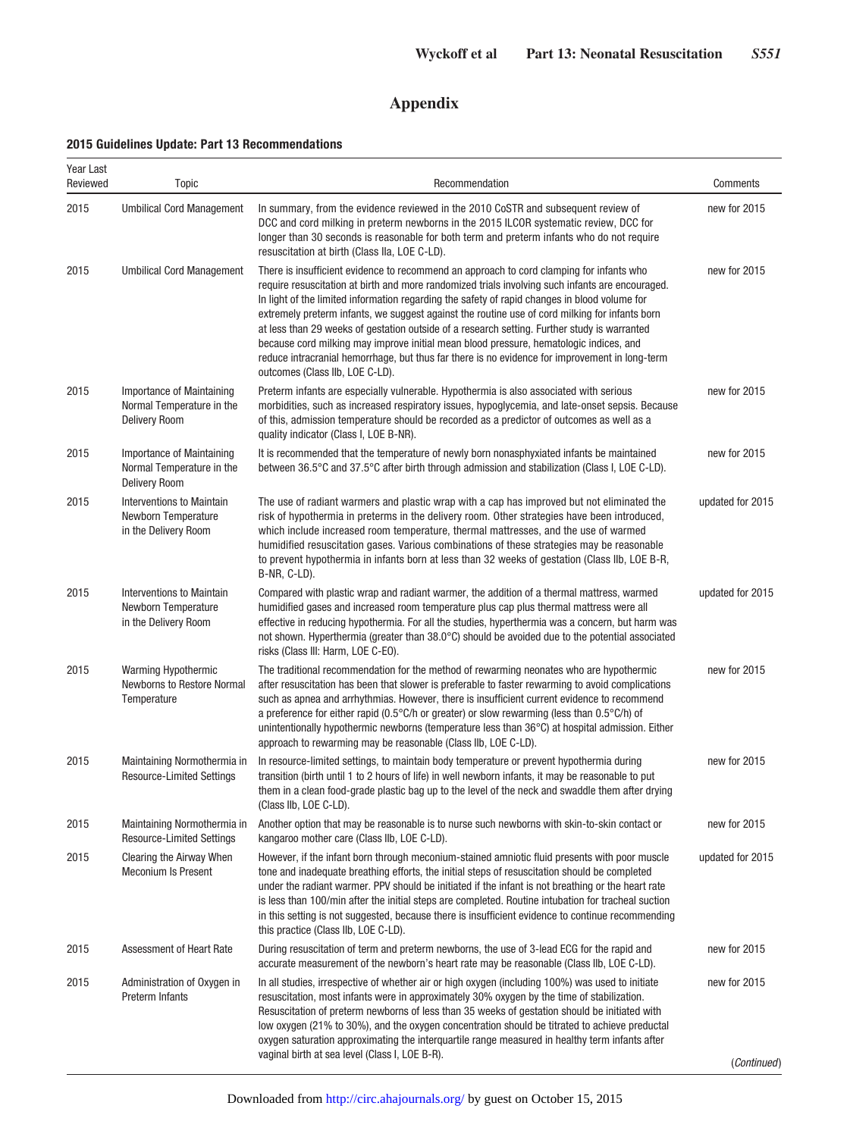# **Appendix**

### **2015 Guidelines Update: Part 13 Recommendations**

| Year Last<br>Reviewed | Topic                                                                           | Recommendation                                                                                                                                                                                                                                                                                                                                                                                                                                                                                                                                                                                                                                                                                                                 | Comments         |
|-----------------------|---------------------------------------------------------------------------------|--------------------------------------------------------------------------------------------------------------------------------------------------------------------------------------------------------------------------------------------------------------------------------------------------------------------------------------------------------------------------------------------------------------------------------------------------------------------------------------------------------------------------------------------------------------------------------------------------------------------------------------------------------------------------------------------------------------------------------|------------------|
| 2015                  | <b>Umbilical Cord Management</b>                                                | In summary, from the evidence reviewed in the 2010 CoSTR and subsequent review of<br>DCC and cord milking in preterm newborns in the 2015 ILCOR systematic review, DCC for<br>longer than 30 seconds is reasonable for both term and preterm infants who do not require<br>resuscitation at birth (Class IIa, LOE C-LD).                                                                                                                                                                                                                                                                                                                                                                                                       | new for 2015     |
| 2015                  | <b>Umbilical Cord Management</b>                                                | There is insufficient evidence to recommend an approach to cord clamping for infants who<br>require resuscitation at birth and more randomized trials involving such infants are encouraged.<br>In light of the limited information regarding the safety of rapid changes in blood volume for<br>extremely preterm infants, we suggest against the routine use of cord milking for infants born<br>at less than 29 weeks of gestation outside of a research setting. Further study is warranted<br>because cord milking may improve initial mean blood pressure, hematologic indices, and<br>reduce intracranial hemorrhage, but thus far there is no evidence for improvement in long-term<br>outcomes (Class IIb, LOE C-LD). | new for 2015     |
| 2015                  | Importance of Maintaining<br>Normal Temperature in the<br><b>Delivery Room</b>  | Preterm infants are especially vulnerable. Hypothermia is also associated with serious<br>morbidities, such as increased respiratory issues, hypoglycemia, and late-onset sepsis. Because<br>of this, admission temperature should be recorded as a predictor of outcomes as well as a<br>quality indicator (Class I, LOE B-NR).                                                                                                                                                                                                                                                                                                                                                                                               | new for 2015     |
| 2015                  | Importance of Maintaining<br>Normal Temperature in the<br><b>Delivery Room</b>  | It is recommended that the temperature of newly born nonasphyxiated infants be maintained<br>between 36.5°C and 37.5°C after birth through admission and stabilization (Class I, LOE C-LD).                                                                                                                                                                                                                                                                                                                                                                                                                                                                                                                                    | new for 2015     |
| 2015                  | <b>Interventions to Maintain</b><br>Newborn Temperature<br>in the Delivery Room | The use of radiant warmers and plastic wrap with a cap has improved but not eliminated the<br>risk of hypothermia in preterms in the delivery room. Other strategies have been introduced,<br>which include increased room temperature, thermal mattresses, and the use of warmed<br>humidified resuscitation gases. Various combinations of these strategies may be reasonable<br>to prevent hypothermia in infants born at less than 32 weeks of gestation (Class IIb, LOE B-R,<br>B-NR, C-LD).                                                                                                                                                                                                                              | updated for 2015 |
| 2015                  | <b>Interventions to Maintain</b><br>Newborn Temperature<br>in the Delivery Room | Compared with plastic wrap and radiant warmer, the addition of a thermal mattress, warmed<br>humidified gases and increased room temperature plus cap plus thermal mattress were all<br>effective in reducing hypothermia. For all the studies, hyperthermia was a concern, but harm was<br>not shown. Hyperthermia (greater than $38.0^{\circ}$ C) should be avoided due to the potential associated<br>risks (Class III: Harm, LOE C-EO).                                                                                                                                                                                                                                                                                    | updated for 2015 |
| 2015                  | <b>Warming Hypothermic</b><br><b>Newborns to Restore Normal</b><br>Temperature  | The traditional recommendation for the method of rewarming neonates who are hypothermic<br>after resuscitation has been that slower is preferable to faster rewarming to avoid complications<br>such as apnea and arrhythmias. However, there is insufficient current evidence to recommend<br>a preference for either rapid (0.5°C/h or greater) or slow rewarming (less than 0.5°C/h) of<br>unintentionally hypothermic newborns (temperature less than 36°C) at hospital admission. Either<br>approach to rewarming may be reasonable (Class IIb, LOE C-LD).                                                                                                                                                                | new for 2015     |
| 2015                  | Maintaining Normothermia in<br><b>Resource-Limited Settings</b>                 | In resource-limited settings, to maintain body temperature or prevent hypothermia during<br>transition (birth until 1 to 2 hours of life) in well newborn infants, it may be reasonable to put<br>them in a clean food-grade plastic bag up to the level of the neck and swaddle them after drying<br>(Class IIb, LOE C-LD).                                                                                                                                                                                                                                                                                                                                                                                                   | new for 2015     |
| 2015                  | Maintaining Normothermia in<br><b>Resource-Limited Settings</b>                 | Another option that may be reasonable is to nurse such newborns with skin-to-skin contact or<br>kangaroo mother care (Class IIb, LOE C-LD).                                                                                                                                                                                                                                                                                                                                                                                                                                                                                                                                                                                    | new for 2015     |
| 2015                  | Clearing the Airway When<br><b>Meconium Is Present</b>                          | However, if the infant born through meconium-stained amniotic fluid presents with poor muscle<br>tone and inadequate breathing efforts, the initial steps of resuscitation should be completed<br>under the radiant warmer. PPV should be initiated if the infant is not breathing or the heart rate<br>is less than 100/min after the initial steps are completed. Routine intubation for tracheal suction<br>in this setting is not suggested, because there is insufficient evidence to continue recommending<br>this practice (Class IIb, LOE C-LD).                                                                                                                                                                       | updated for 2015 |
| 2015                  | Assessment of Heart Rate                                                        | During resuscitation of term and preterm newborns, the use of 3-lead ECG for the rapid and<br>accurate measurement of the newborn's heart rate may be reasonable (Class IIb, LOE C-LD).                                                                                                                                                                                                                                                                                                                                                                                                                                                                                                                                        | new for 2015     |
| 2015                  | Administration of Oxygen in<br>Preterm Infants                                  | In all studies, irrespective of whether air or high oxygen (including 100%) was used to initiate<br>resuscitation, most infants were in approximately 30% oxygen by the time of stabilization.<br>Resuscitation of preterm newborns of less than 35 weeks of gestation should be initiated with<br>low oxygen (21% to 30%), and the oxygen concentration should be titrated to achieve preductal<br>oxygen saturation approximating the interquartile range measured in healthy term infants after<br>vaginal birth at sea level (Class I, LOE B-R).                                                                                                                                                                           | new for 2015     |
|                       |                                                                                 |                                                                                                                                                                                                                                                                                                                                                                                                                                                                                                                                                                                                                                                                                                                                | (Continued)      |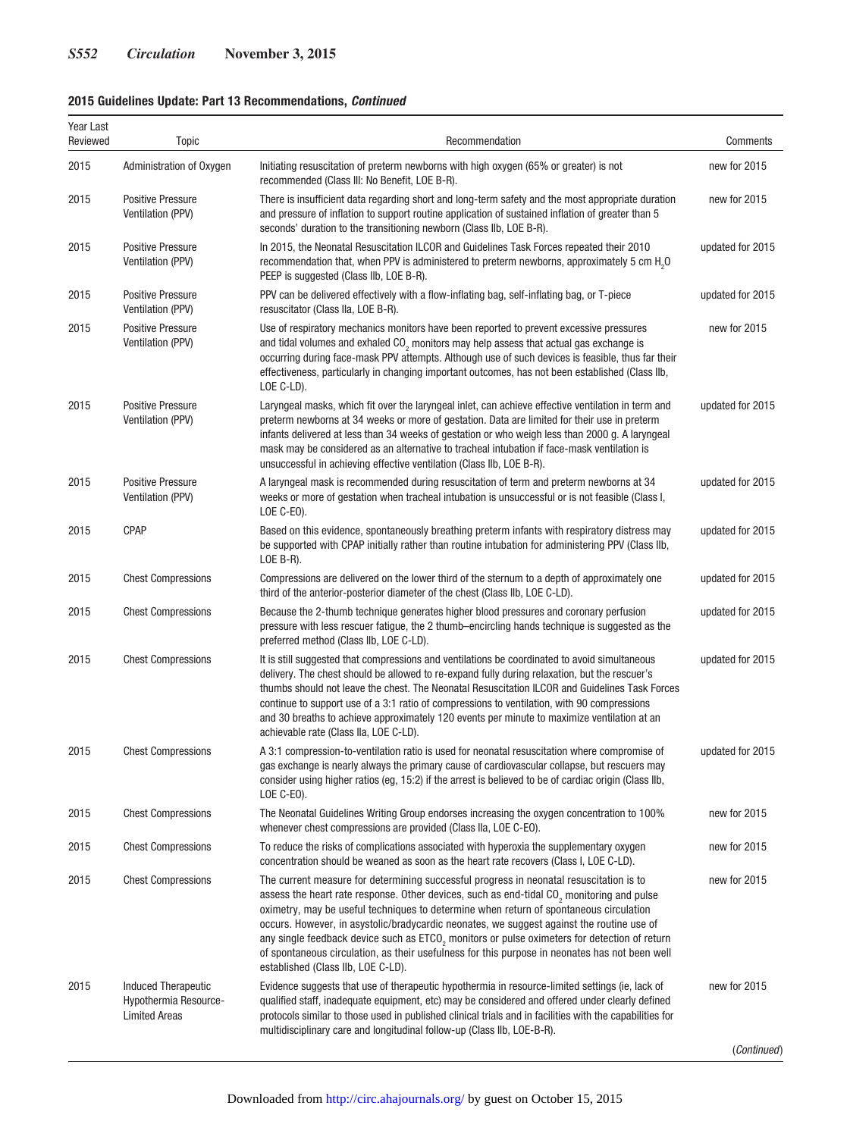## **2015 Guidelines Update: Part 13 Recommendations,** *Continued*

| Year Last<br>Reviewed | Topic                                                                | Recommendation                                                                                                                                                                                                                                                                                                                                                                                                                                                                                                                                                                                                                              | Comments         |
|-----------------------|----------------------------------------------------------------------|---------------------------------------------------------------------------------------------------------------------------------------------------------------------------------------------------------------------------------------------------------------------------------------------------------------------------------------------------------------------------------------------------------------------------------------------------------------------------------------------------------------------------------------------------------------------------------------------------------------------------------------------|------------------|
| 2015                  | Administration of Oxygen                                             | Initiating resuscitation of preterm newborns with high oxygen (65% or greater) is not<br>recommended (Class III: No Benefit, LOE B-R).                                                                                                                                                                                                                                                                                                                                                                                                                                                                                                      | new for 2015     |
| 2015                  | <b>Positive Pressure</b><br>Ventilation (PPV)                        | There is insufficient data regarding short and long-term safety and the most appropriate duration<br>and pressure of inflation to support routine application of sustained inflation of greater than 5<br>seconds' duration to the transitioning newborn (Class IIb, LOE B-R).                                                                                                                                                                                                                                                                                                                                                              | new for 2015     |
| 2015                  | <b>Positive Pressure</b><br>Ventilation (PPV)                        | In 2015, the Neonatal Resuscitation ILCOR and Guidelines Task Forces repeated their 2010<br>recommendation that, when PPV is administered to preterm newborns, approximately 5 cm H <sub>0</sub> O<br>PEEP is suggested (Class IIb, LOE B-R).                                                                                                                                                                                                                                                                                                                                                                                               | updated for 2015 |
| 2015                  | <b>Positive Pressure</b><br>Ventilation (PPV)                        | PPV can be delivered effectively with a flow-inflating bag, self-inflating bag, or T-piece<br>resuscitator (Class IIa, LOE B-R).                                                                                                                                                                                                                                                                                                                                                                                                                                                                                                            | updated for 2015 |
| 2015                  | <b>Positive Pressure</b><br>Ventilation (PPV)                        | Use of respiratory mechanics monitors have been reported to prevent excessive pressures<br>and tidal volumes and exhaled CO <sub>2</sub> monitors may help assess that actual gas exchange is<br>occurring during face-mask PPV attempts. Although use of such devices is feasible, thus far their<br>effectiveness, particularly in changing important outcomes, has not been established (Class IIb,<br>LOE C-LD).                                                                                                                                                                                                                        | new for 2015     |
| 2015                  | <b>Positive Pressure</b><br>Ventilation (PPV)                        | Laryngeal masks, which fit over the laryngeal inlet, can achieve effective ventilation in term and<br>preterm newborns at 34 weeks or more of gestation. Data are limited for their use in preterm<br>infants delivered at less than 34 weeks of gestation or who weigh less than 2000 g. A laryngeal<br>mask may be considered as an alternative to tracheal intubation if face-mask ventilation is<br>unsuccessful in achieving effective ventilation (Class IIb, LOE B-R).                                                                                                                                                               | updated for 2015 |
| 2015                  | <b>Positive Pressure</b><br>Ventilation (PPV)                        | A laryngeal mask is recommended during resuscitation of term and preterm newborns at 34<br>weeks or more of gestation when tracheal intubation is unsuccessful or is not feasible (Class I,<br>LOE C-EO).                                                                                                                                                                                                                                                                                                                                                                                                                                   | updated for 2015 |
| 2015                  | <b>CPAP</b>                                                          | Based on this evidence, spontaneously breathing preterm infants with respiratory distress may<br>be supported with CPAP initially rather than routine intubation for administering PPV (Class IIb,<br>LOE $B-R$ ).                                                                                                                                                                                                                                                                                                                                                                                                                          | updated for 2015 |
| 2015                  | <b>Chest Compressions</b>                                            | Compressions are delivered on the lower third of the sternum to a depth of approximately one<br>third of the anterior-posterior diameter of the chest (Class IIb, LOE C-LD).                                                                                                                                                                                                                                                                                                                                                                                                                                                                | updated for 2015 |
| 2015                  | <b>Chest Compressions</b>                                            | Because the 2-thumb technique generates higher blood pressures and coronary perfusion<br>pressure with less rescuer fatigue, the 2 thumb–encircling hands technique is suggested as the<br>preferred method (Class IIb, LOE C-LD).                                                                                                                                                                                                                                                                                                                                                                                                          | updated for 2015 |
| 2015                  | <b>Chest Compressions</b>                                            | It is still suggested that compressions and ventilations be coordinated to avoid simultaneous<br>delivery. The chest should be allowed to re-expand fully during relaxation, but the rescuer's<br>thumbs should not leave the chest. The Neonatal Resuscitation ILCOR and Guidelines Task Forces<br>continue to support use of a 3:1 ratio of compressions to ventilation, with 90 compressions<br>and 30 breaths to achieve approximately 120 events per minute to maximize ventilation at an<br>achievable rate (Class IIa, LOE C-LD).                                                                                                    | updated for 2015 |
| 2015                  | <b>Chest Compressions</b>                                            | A 3:1 compression-to-ventilation ratio is used for neonatal resuscitation where compromise of<br>gas exchange is nearly always the primary cause of cardiovascular collapse, but rescuers may<br>consider using higher ratios (eg. 15:2) if the arrest is believed to be of cardiac origin (Class IIb,<br>LOE C-EO).                                                                                                                                                                                                                                                                                                                        | updated for 2015 |
| 2015                  | <b>Chest Compressions</b>                                            | The Neonatal Guidelines Writing Group endorses increasing the oxygen concentration to 100%<br>whenever chest compressions are provided (Class IIa, LOE C-EO).                                                                                                                                                                                                                                                                                                                                                                                                                                                                               | new for 2015     |
| 2015                  | <b>Chest Compressions</b>                                            | To reduce the risks of complications associated with hyperoxia the supplementary oxygen<br>concentration should be weaned as soon as the heart rate recovers (Class I, LOE C-LD).                                                                                                                                                                                                                                                                                                                                                                                                                                                           | new for 2015     |
| 2015                  | <b>Chest Compressions</b>                                            | The current measure for determining successful progress in neonatal resuscitation is to<br>assess the heart rate response. Other devices, such as end-tidal CO <sub>2</sub> monitoring and pulse<br>oximetry, may be useful techniques to determine when return of spontaneous circulation<br>occurs. However, in asystolic/bradycardic neonates, we suggest against the routine use of<br>any single feedback device such as ETCO <sub>2</sub> monitors or pulse oximeters for detection of return<br>of spontaneous circulation, as their usefulness for this purpose in neonates has not been well<br>established (Class IIb, LOE C-LD). | new for 2015     |
| 2015                  | Induced Therapeutic<br>Hypothermia Resource-<br><b>Limited Areas</b> | Evidence suggests that use of therapeutic hypothermia in resource-limited settings (ie, lack of<br>qualified staff, inadequate equipment, etc) may be considered and offered under clearly defined<br>protocols similar to those used in published clinical trials and in facilities with the capabilities for<br>multidisciplinary care and longitudinal follow-up (Class IIb, LOE-B-R).                                                                                                                                                                                                                                                   | new for 2015     |
|                       |                                                                      |                                                                                                                                                                                                                                                                                                                                                                                                                                                                                                                                                                                                                                             | (Continued)      |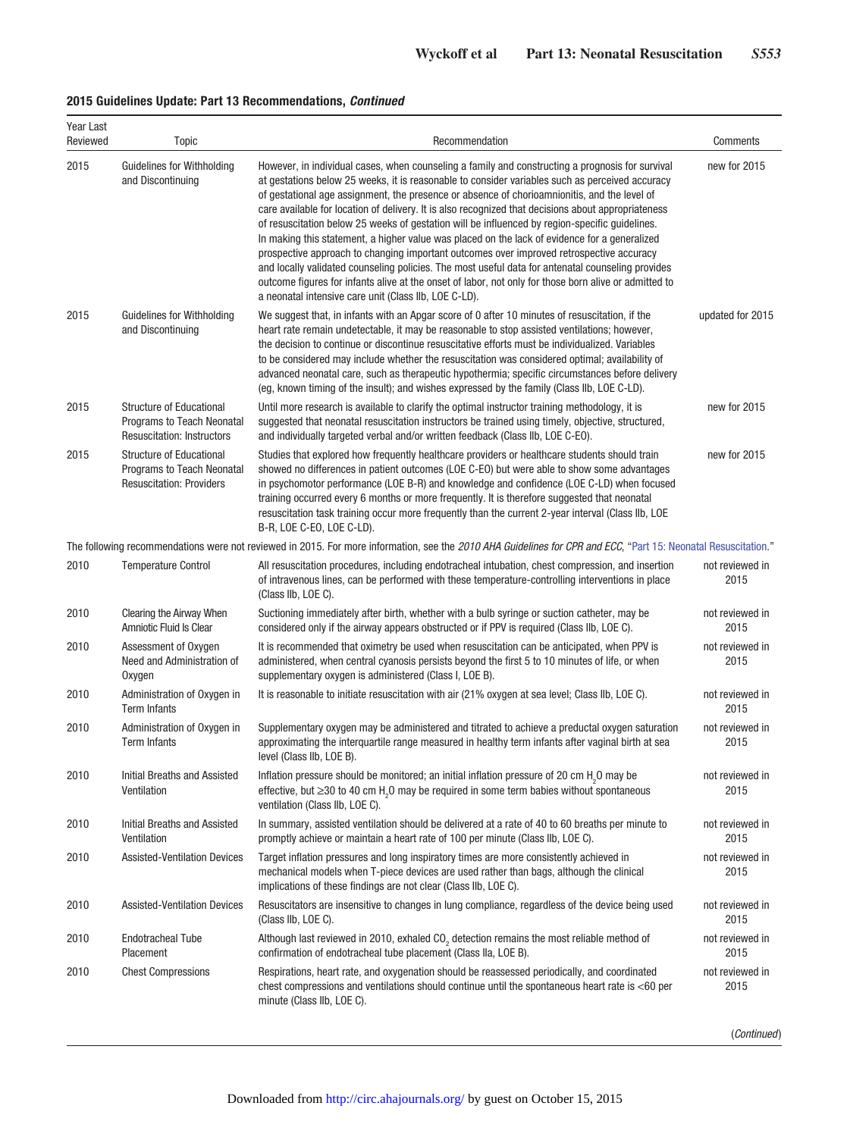### **2015 Guidelines Update: Part 13 Recommendations,** *Continued*

| Year Last<br>Reviewed | Topic                                                                                              | Recommendation                                                                                                                                                                                                                                                                                                                                                                                                                                                                                                                                                                                                                                                                                                                                                                                                                                                                                                                                                                   | Comments                |
|-----------------------|----------------------------------------------------------------------------------------------------|----------------------------------------------------------------------------------------------------------------------------------------------------------------------------------------------------------------------------------------------------------------------------------------------------------------------------------------------------------------------------------------------------------------------------------------------------------------------------------------------------------------------------------------------------------------------------------------------------------------------------------------------------------------------------------------------------------------------------------------------------------------------------------------------------------------------------------------------------------------------------------------------------------------------------------------------------------------------------------|-------------------------|
| 2015                  | Guidelines for Withholding<br>and Discontinuing                                                    | However, in individual cases, when counseling a family and constructing a prognosis for survival<br>at gestations below 25 weeks, it is reasonable to consider variables such as perceived accuracy<br>of gestational age assignment, the presence or absence of chorioamnionitis, and the level of<br>care available for location of delivery. It is also recognized that decisions about appropriateness<br>of resuscitation below 25 weeks of gestation will be influenced by region-specific guidelines.<br>In making this statement, a higher value was placed on the lack of evidence for a generalized<br>prospective approach to changing important outcomes over improved retrospective accuracy<br>and locally validated counseling policies. The most useful data for antenatal counseling provides<br>outcome figures for infants alive at the onset of labor, not only for those born alive or admitted to<br>a neonatal intensive care unit (Class IIb, LOE C-LD). | new for 2015            |
| 2015                  | Guidelines for Withholding<br>and Discontinuing                                                    | We suggest that, in infants with an Apgar score of 0 after 10 minutes of resuscitation, if the<br>heart rate remain undetectable, it may be reasonable to stop assisted ventilations; however,<br>the decision to continue or discontinue resuscitative efforts must be individualized. Variables<br>to be considered may include whether the resuscitation was considered optimal; availability of<br>advanced neonatal care, such as therapeutic hypothermia; specific circumstances before delivery<br>(eg, known timing of the insult); and wishes expressed by the family (Class IIb, LOE C-LD).                                                                                                                                                                                                                                                                                                                                                                            | updated for 2015        |
| 2015                  | <b>Structure of Educational</b><br>Programs to Teach Neonatal<br><b>Resuscitation: Instructors</b> | Until more research is available to clarify the optimal instructor training methodology, it is<br>suggested that neonatal resuscitation instructors be trained using timely, objective, structured,<br>and individually targeted verbal and/or written feedback (Class IIb, LOE C-EO).                                                                                                                                                                                                                                                                                                                                                                                                                                                                                                                                                                                                                                                                                           | new for 2015            |
| 2015                  | <b>Structure of Educational</b><br>Programs to Teach Neonatal<br><b>Resuscitation: Providers</b>   | Studies that explored how frequently healthcare providers or healthcare students should train<br>showed no differences in patient outcomes (LOE C-EO) but were able to show some advantages<br>in psychomotor performance (LOE B-R) and knowledge and confidence (LOE C-LD) when focused<br>training occurred every 6 months or more frequently. It is therefore suggested that neonatal<br>resuscitation task training occur more frequently than the current 2-year interval (Class IIb, LOE<br>B-R, LOE C-EO, LOE C-LD).                                                                                                                                                                                                                                                                                                                                                                                                                                                      | new for 2015            |
|                       |                                                                                                    | The following recommendations were not reviewed in 2015. For more information, see the 2010 AHA Guidelines for CPR and ECC, "Part 15: Neonatal Resuscitation."                                                                                                                                                                                                                                                                                                                                                                                                                                                                                                                                                                                                                                                                                                                                                                                                                   |                         |
| 2010                  | <b>Temperature Control</b>                                                                         | All resuscitation procedures, including endotracheal intubation, chest compression, and insertion<br>of intravenous lines, can be performed with these temperature-controlling interventions in place<br>(Class IIb, LOE C).                                                                                                                                                                                                                                                                                                                                                                                                                                                                                                                                                                                                                                                                                                                                                     | not reviewed in<br>2015 |
| 2010                  | Clearing the Airway When<br>Amniotic Fluid Is Clear                                                | Suctioning immediately after birth, whether with a bulb syringe or suction catheter, may be<br>considered only if the airway appears obstructed or if PPV is required (Class IIb, LOE C).                                                                                                                                                                                                                                                                                                                                                                                                                                                                                                                                                                                                                                                                                                                                                                                        | not reviewed in<br>2015 |
| 2010                  | Assessment of Oxygen<br>Need and Administration of<br>Oxygen                                       | It is recommended that oximetry be used when resuscitation can be anticipated, when PPV is<br>administered, when central cyanosis persists beyond the first 5 to 10 minutes of life, or when<br>supplementary oxygen is administered (Class I, LOE B).                                                                                                                                                                                                                                                                                                                                                                                                                                                                                                                                                                                                                                                                                                                           | not reviewed in<br>2015 |
| 2010                  | Administration of Oxygen in<br><b>Term Infants</b>                                                 | It is reasonable to initiate resuscitation with air (21% oxygen at sea level; Class IIb, LOE C).                                                                                                                                                                                                                                                                                                                                                                                                                                                                                                                                                                                                                                                                                                                                                                                                                                                                                 | not reviewed in<br>2015 |
| 2010                  | Administration of Oxygen in<br><b>Term Infants</b>                                                 | Supplementary oxygen may be administered and titrated to achieve a preductal oxygen saturation<br>approximating the interguartile range measured in healthy term infants after vaginal birth at sea<br>level (Class IIb, LOE B).                                                                                                                                                                                                                                                                                                                                                                                                                                                                                                                                                                                                                                                                                                                                                 | not reviewed in<br>2015 |
| 2010                  | Initial Breaths and Assisted<br>Ventilation                                                        | Inflation pressure should be monitored; an initial inflation pressure of 20 cm H <sub>2</sub> O may be<br>effective, but $\geq$ 30 to 40 cm H <sub>2</sub> O may be required in some term babies without spontaneous<br>ventilation (Class IIb, LOE C).                                                                                                                                                                                                                                                                                                                                                                                                                                                                                                                                                                                                                                                                                                                          | not reviewed in<br>2015 |
| 2010                  | Initial Breaths and Assisted<br>Ventilation                                                        | In summary, assisted ventilation should be delivered at a rate of 40 to 60 breaths per minute to<br>promptly achieve or maintain a heart rate of 100 per minute (Class IIb, LOE C).                                                                                                                                                                                                                                                                                                                                                                                                                                                                                                                                                                                                                                                                                                                                                                                              | not reviewed in<br>2015 |
| 2010                  | <b>Assisted-Ventilation Devices</b>                                                                | Target inflation pressures and long inspiratory times are more consistently achieved in<br>mechanical models when T-piece devices are used rather than bags, although the clinical<br>implications of these findings are not clear (Class IIb, LOE C).                                                                                                                                                                                                                                                                                                                                                                                                                                                                                                                                                                                                                                                                                                                           | not reviewed in<br>2015 |
| 2010                  | <b>Assisted-Ventilation Devices</b>                                                                | Resuscitators are insensitive to changes in lung compliance, regardless of the device being used<br>(Class IIb, LOE C).                                                                                                                                                                                                                                                                                                                                                                                                                                                                                                                                                                                                                                                                                                                                                                                                                                                          | not reviewed in<br>2015 |
| 2010                  | <b>Endotracheal Tube</b><br>Placement                                                              | Although last reviewed in 2010, exhaled $CO2$ detection remains the most reliable method of<br>confirmation of endotracheal tube placement (Class IIa, LOE B).                                                                                                                                                                                                                                                                                                                                                                                                                                                                                                                                                                                                                                                                                                                                                                                                                   | not reviewed in<br>2015 |
| 2010                  | <b>Chest Compressions</b>                                                                          | Respirations, heart rate, and oxygenation should be reassessed periodically, and coordinated<br>chest compressions and ventilations should continue until the spontaneous heart rate is <60 per<br>minute (Class IIb, LOE C).                                                                                                                                                                                                                                                                                                                                                                                                                                                                                                                                                                                                                                                                                                                                                    | not reviewed in<br>2015 |

(Continued)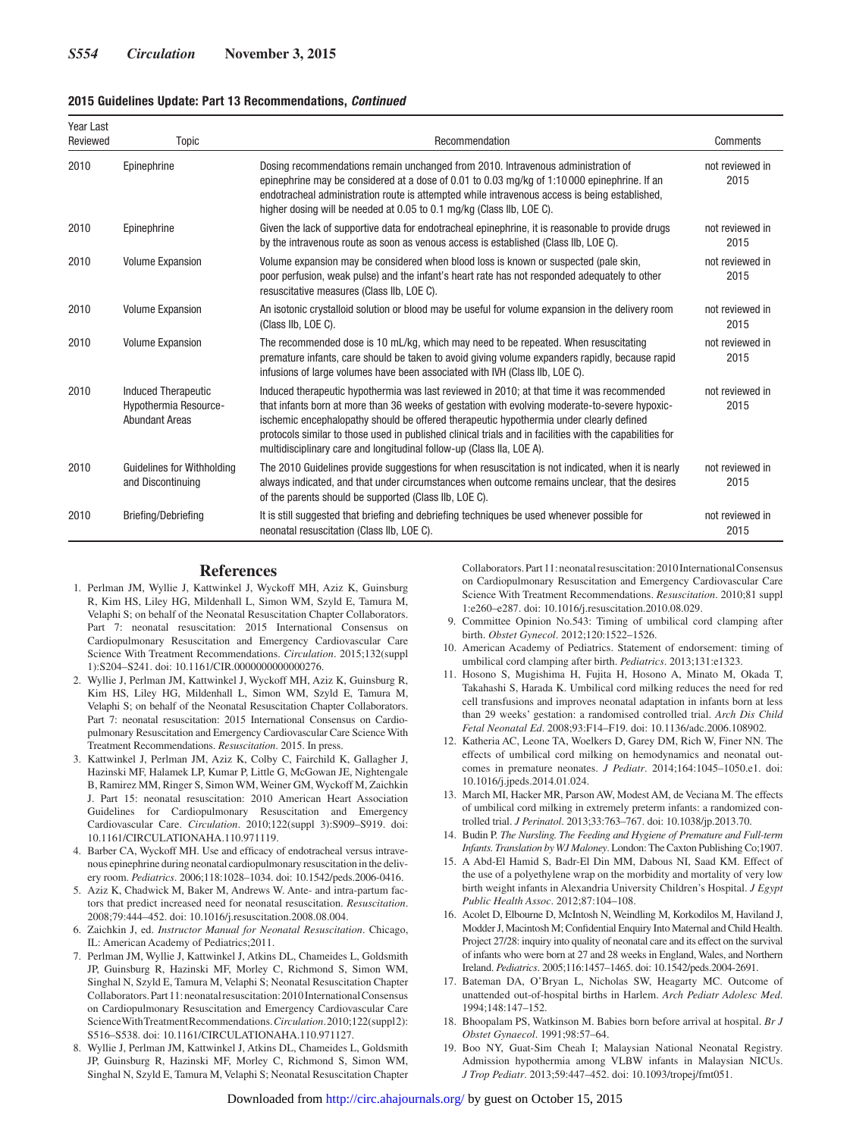#### **2015 Guidelines Update: Part 13 Recommendations,** *Continued*

| Year Last<br>Reviewed | Topic                                                                        | Recommendation                                                                                                                                                                                                                                                                                                                                                                                                                                                               | Comments                |
|-----------------------|------------------------------------------------------------------------------|------------------------------------------------------------------------------------------------------------------------------------------------------------------------------------------------------------------------------------------------------------------------------------------------------------------------------------------------------------------------------------------------------------------------------------------------------------------------------|-------------------------|
| 2010                  | Epinephrine                                                                  | Dosing recommendations remain unchanged from 2010. Intravenous administration of<br>epinephrine may be considered at a dose of 0.01 to 0.03 mg/kg of 1:10 000 epinephrine. If an<br>endotracheal administration route is attempted while intravenous access is being established,<br>higher dosing will be needed at 0.05 to 0.1 mg/kg (Class IIb, LOE C).                                                                                                                   | not reviewed in<br>2015 |
| 2010                  | Epinephrine                                                                  | Given the lack of supportive data for endotracheal epinephrine, it is reasonable to provide drugs<br>by the intravenous route as soon as venous access is established (Class IIb, LOE C).                                                                                                                                                                                                                                                                                    | not reviewed in<br>2015 |
| 2010                  | <b>Volume Expansion</b>                                                      | Volume expansion may be considered when blood loss is known or suspected (pale skin,<br>poor perfusion, weak pulse) and the infant's heart rate has not responded adequately to other<br>resuscitative measures (Class IIb, LOE C).                                                                                                                                                                                                                                          | not reviewed in<br>2015 |
| 2010                  | <b>Volume Expansion</b>                                                      | An isotonic crystalloid solution or blood may be useful for volume expansion in the delivery room<br>(Class IIb, LOE C).                                                                                                                                                                                                                                                                                                                                                     | not reviewed in<br>2015 |
| 2010                  | <b>Volume Expansion</b>                                                      | The recommended dose is 10 mL/kg, which may need to be repeated. When resuscitating<br>premature infants, care should be taken to avoid giving volume expanders rapidly, because rapid<br>infusions of large volumes have been associated with IVH (Class IIb, LOE C).                                                                                                                                                                                                       | not reviewed in<br>2015 |
| 2010                  | <b>Induced Therapeutic</b><br>Hypothermia Resource-<br><b>Abundant Areas</b> | Induced therapeutic hypothermia was last reviewed in 2010; at that time it was recommended<br>that infants born at more than 36 weeks of gestation with evolving moderate-to-severe hypoxic-<br>ischemic encephalopathy should be offered therapeutic hypothermia under clearly defined<br>protocols similar to those used in published clinical trials and in facilities with the capabilities for<br>multidisciplinary care and longitudinal follow-up (Class IIa, LOE A). | not reviewed in<br>2015 |
| 2010                  | Guidelines for Withholding<br>and Discontinuing                              | The 2010 Guidelines provide suggestions for when resuscitation is not indicated, when it is nearly<br>always indicated, and that under circumstances when outcome remains unclear, that the desires<br>of the parents should be supported (Class IIb, LOE C).                                                                                                                                                                                                                | not reviewed in<br>2015 |
| 2010                  | Briefing/Debriefing                                                          | It is still suggested that briefing and debriefing techniques be used whenever possible for<br>neonatal resuscitation (Class IIb, LOE C).                                                                                                                                                                                                                                                                                                                                    | not reviewed in<br>2015 |

#### **References**

- 1. Perlman JM, Wyllie J, Kattwinkel J, Wyckoff MH, Aziz K, Guinsburg R, Kim HS, Liley HG, Mildenhall L, Simon WM, Szyld E, Tamura M, Velaphi S; on behalf of the Neonatal Resuscitation Chapter Collaborators. Part 7: neonatal resuscitation: 2015 International Consensus on Cardiopulmonary Resuscitation and Emergency Cardiovascular Care Science With Treatment Recommendations. *Circulation*. 2015;132(suppl 1):S204–S241. doi: 10.1161/CIR.0000000000000276.
- 2. Wyllie J, Perlman JM, Kattwinkel J, Wyckoff MH, Aziz K, Guinsburg R, Kim HS, Liley HG, Mildenhall L, Simon WM, Szyld E, Tamura M, Velaphi S; on behalf of the Neonatal Resuscitation Chapter Collaborators. Part 7: neonatal resuscitation: 2015 International Consensus on Cardiopulmonary Resuscitation and Emergency Cardiovascular Care Science With Treatment Recommendations. *Resuscitation*. 2015. In press.
- 3. Kattwinkel J, Perlman JM, Aziz K, Colby C, Fairchild K, Gallagher J, Hazinski MF, Halamek LP, Kumar P, Little G, McGowan JE, Nightengale B, Ramirez MM, Ringer S, Simon WM, Weiner GM, Wyckoff M, Zaichkin J. Part 15: neonatal resuscitation: 2010 American Heart Association Guidelines for Cardiopulmonary Resuscitation and Emergency Cardiovascular Care. *Circulation*. 2010;122(suppl 3):S909–S919. doi: 10.1161/CIRCULATIONAHA.110.971119.
- 4. Barber CA, Wyckoff MH. Use and efficacy of endotracheal versus intravenous epinephrine during neonatal cardiopulmonary resuscitation in the delivery room. *Pediatrics*. 2006;118:1028–1034. doi: 10.1542/peds.2006-0416.
- 5. Aziz K, Chadwick M, Baker M, Andrews W. Ante- and intra-partum factors that predict increased need for neonatal resuscitation. *Resuscitation*. 2008;79:444–452. doi: 10.1016/j.resuscitation.2008.08.004.
- 6. Zaichkin J, ed. *Instructor Manual for Neonatal Resuscitation*. Chicago, IL: American Academy of Pediatrics;2011.
- 7. Perlman JM, Wyllie J, Kattwinkel J, Atkins DL, Chameides L, Goldsmith JP, Guinsburg R, Hazinski MF, Morley C, Richmond S, Simon WM, Singhal N, Szyld E, Tamura M, Velaphi S; Neonatal Resuscitation Chapter Collaborators. Part 11: neonatal resuscitation: 2010 International Consensus on Cardiopulmonary Resuscitation and Emergency Cardiovascular Care Science With Treatment Recommendations. *Circulation*. 2010;122(suppl2): S516–S538. doi: 10.1161/CIRCULATIONAHA.110.971127.
- 8. Wyllie J, Perlman JM, Kattwinkel J, Atkins DL, Chameides L, Goldsmith JP, Guinsburg R, Hazinski MF, Morley C, Richmond S, Simon WM, Singhal N, Szyld E, Tamura M, Velaphi S; Neonatal Resuscitation Chapter

Collaborators. Part 11: neonatal resuscitation: 2010 International Consensus on Cardiopulmonary Resuscitation and Emergency Cardiovascular Care Science With Treatment Recommendations. *Resuscitation*. 2010;81 suppl 1:e260–e287. doi: 10.1016/j.resuscitation.2010.08.029.

- Committee Opinion No.543: Timing of umbilical cord clamping after birth. *Obstet Gynecol*. 2012;120:1522–1526.
- 10. American Academy of Pediatrics. Statement of endorsement: timing of umbilical cord clamping after birth. *Pediatrics*. 2013;131:e1323.
- 11. Hosono S, Mugishima H, Fujita H, Hosono A, Minato M, Okada T, Takahashi S, Harada K. Umbilical cord milking reduces the need for red cell transfusions and improves neonatal adaptation in infants born at less than 29 weeks' gestation: a randomised controlled trial. *Arch Dis Child Fetal Neonatal Ed*. 2008;93:F14–F19. doi: 10.1136/adc.2006.108902.
- 12. Katheria AC, Leone TA, Woelkers D, Garey DM, Rich W, Finer NN. The effects of umbilical cord milking on hemodynamics and neonatal outcomes in premature neonates. *J Pediatr*. 2014;164:1045–1050.e1. doi: 10.1016/j.jpeds.2014.01.024.
- 13. March MI, Hacker MR, Parson AW, Modest AM, de Veciana M. The effects of umbilical cord milking in extremely preterm infants: a randomized controlled trial. *J Perinatol*. 2013;33:763–767. doi: 10.1038/jp.2013.70.
- 14. Budin P. *The Nursling. The Feeding and Hygiene of Premature and Full-term Infants. Translation by WJ Maloney*. London: The Caxton Publishing Co;1907.
- 15. A Abd-El Hamid S, Badr-El Din MM, Dabous NI, Saad KM. Effect of the use of a polyethylene wrap on the morbidity and mortality of very low birth weight infants in Alexandria University Children's Hospital. *J Egypt Public Health Assoc*. 2012;87:104–108.
- 16. Acolet D, Elbourne D, McIntosh N, Weindling M, Korkodilos M, Haviland J, Modder J, Macintosh M; Confidential Enquiry Into Maternal and Child Health. Project 27/28: inquiry into quality of neonatal care and its effect on the survival of infants who were born at 27 and 28 weeks in England, Wales, and Northern Ireland. *Pediatrics*. 2005;116:1457–1465. doi: 10.1542/peds.2004-2691.
- 17. Bateman DA, O'Bryan L, Nicholas SW, Heagarty MC. Outcome of unattended out-of-hospital births in Harlem. *Arch Pediatr Adolesc Med*. 1994;148:147–152.
- 18. Bhoopalam PS, Watkinson M. Babies born before arrival at hospital. *Br J Obstet Gynaecol*. 1991;98:57–64.
- 19. Boo NY, Guat-Sim Cheah I; Malaysian National Neonatal Registry. Admission hypothermia among VLBW infants in Malaysian NICUs. *J Trop Pediatr*. 2013;59:447–452. doi: 10.1093/tropej/fmt051.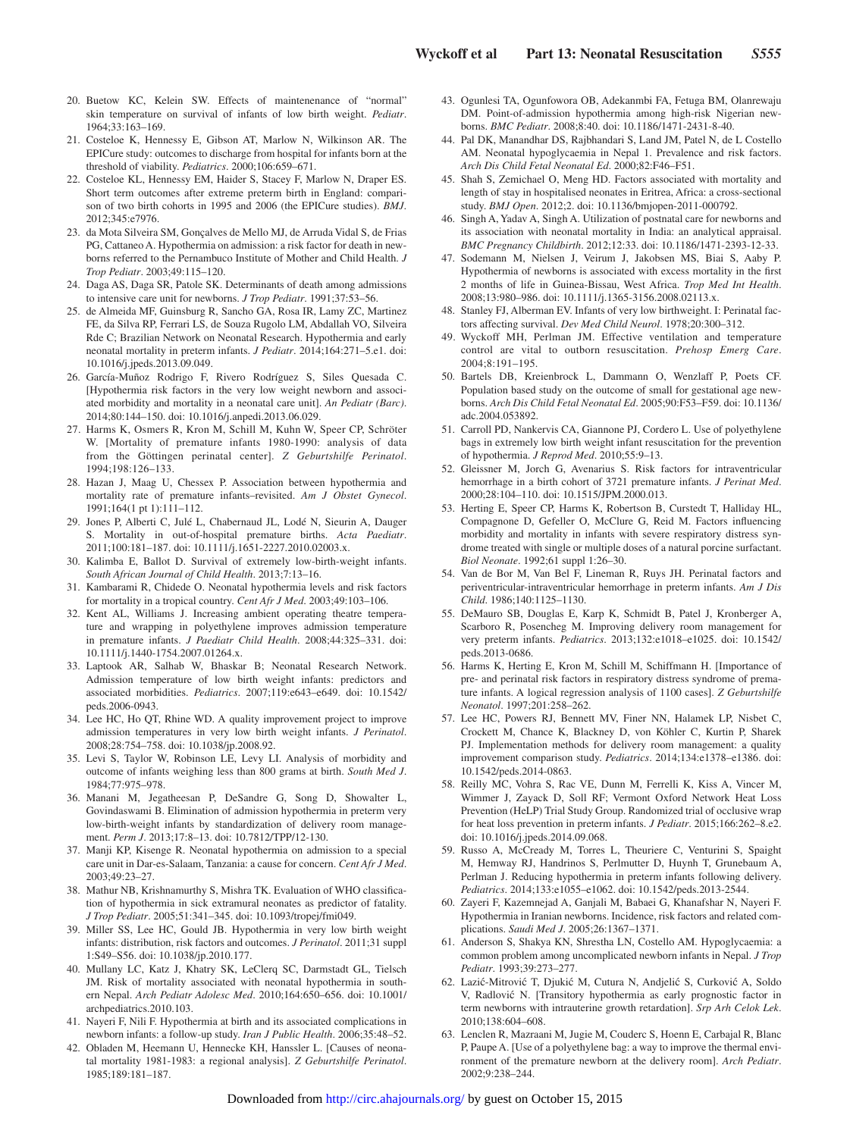- 20. Buetow KC, Kelein SW. Effects of maintenenance of "normal" skin temperature on survival of infants of low birth weight. *Pediatr*. 1964;33:163–169.
- 21. Costeloe K, Hennessy E, Gibson AT, Marlow N, Wilkinson AR. The EPICure study: outcomes to discharge from hospital for infants born at the threshold of viability. *Pediatrics*. 2000;106:659–671.
- 22. Costeloe KL, Hennessy EM, Haider S, Stacey F, Marlow N, Draper ES. Short term outcomes after extreme preterm birth in England: comparison of two birth cohorts in 1995 and 2006 (the EPICure studies). *BMJ*. 2012;345:e7976.
- 23. da Mota Silveira SM, Gonçalves de Mello MJ, de Arruda Vidal S, de Frias PG, Cattaneo A. Hypothermia on admission: a risk factor for death in newborns referred to the Pernambuco Institute of Mother and Child Health. *J Trop Pediatr*. 2003;49:115–120.
- 24. Daga AS, Daga SR, Patole SK. Determinants of death among admissions to intensive care unit for newborns. *J Trop Pediatr*. 1991;37:53–56.
- 25. de Almeida MF, Guinsburg R, Sancho GA, Rosa IR, Lamy ZC, Martinez FE, da Silva RP, Ferrari LS, de Souza Rugolo LM, Abdallah VO, Silveira Rde C; Brazilian Network on Neonatal Research. Hypothermia and early neonatal mortality in preterm infants. *J Pediatr*. 2014;164:271–5.e1. doi: 10.1016/j.jpeds.2013.09.049.
- 26. García-Muñoz Rodrigo F, Rivero Rodríguez S, Siles Quesada C. [Hypothermia risk factors in the very low weight newborn and associated morbidity and mortality in a neonatal care unit]. *An Pediatr (Barc)*. 2014;80:144–150. doi: 10.1016/j.anpedi.2013.06.029.
- 27. Harms K, Osmers R, Kron M, Schill M, Kuhn W, Speer CP, Schröter W. [Mortality of premature infants 1980-1990: analysis of data from the Göttingen perinatal center]. *Z Geburtshilfe Perinatol*. 1994;198:126–133.
- 28. Hazan J, Maag U, Chessex P. Association between hypothermia and mortality rate of premature infants–revisited. *Am J Obstet Gynecol*. 1991;164(1 pt 1):111–112.
- 29. Jones P, Alberti C, Julé L, Chabernaud JL, Lodé N, Sieurin A, Dauger S. Mortality in out-of-hospital premature births. *Acta Paediatr*. 2011;100:181–187. doi: 10.1111/j.1651-2227.2010.02003.x.
- 30. Kalimba E, Ballot D. Survival of extremely low-birth-weight infants. *South African Journal of Child Health*. 2013;7:13–16.
- 31. Kambarami R, Chidede O. Neonatal hypothermia levels and risk factors for mortality in a tropical country. *Cent Afr J Med*. 2003;49:103–106.
- 32. Kent AL, Williams J. Increasing ambient operating theatre temperature and wrapping in polyethylene improves admission temperature in premature infants. *J Paediatr Child Health*. 2008;44:325–331. doi: 10.1111/j.1440-1754.2007.01264.x.
- 33. Laptook AR, Salhab W, Bhaskar B; Neonatal Research Network. Admission temperature of low birth weight infants: predictors and associated morbidities. *Pediatrics*. 2007;119:e643–e649. doi: 10.1542/ peds.2006-0943.
- 34. Lee HC, Ho QT, Rhine WD. A quality improvement project to improve admission temperatures in very low birth weight infants. *J Perinatol*. 2008;28:754–758. doi: 10.1038/jp.2008.92.
- 35. Levi S, Taylor W, Robinson LE, Levy LI. Analysis of morbidity and outcome of infants weighing less than 800 grams at birth. *South Med J*. 1984;77:975–978.
- 36. Manani M, Jegatheesan P, DeSandre G, Song D, Showalter L, Govindaswami B. Elimination of admission hypothermia in preterm very low-birth-weight infants by standardization of delivery room management. *Perm J*. 2013;17:8–13. doi: 10.7812/TPP/12-130.
- 37. Manji KP, Kisenge R. Neonatal hypothermia on admission to a special care unit in Dar-es-Salaam, Tanzania: a cause for concern. *Cent Afr J Med*. 2003;49:23–27.
- 38. Mathur NB, Krishnamurthy S, Mishra TK. Evaluation of WHO classification of hypothermia in sick extramural neonates as predictor of fatality. *J Trop Pediatr*. 2005;51:341–345. doi: 10.1093/tropej/fmi049.
- 39. Miller SS, Lee HC, Gould JB. Hypothermia in very low birth weight infants: distribution, risk factors and outcomes. *J Perinatol*. 2011;31 suppl 1:S49–S56. doi: 10.1038/jp.2010.177.
- 40. Mullany LC, Katz J, Khatry SK, LeClerq SC, Darmstadt GL, Tielsch JM. Risk of mortality associated with neonatal hypothermia in southern Nepal. *Arch Pediatr Adolesc Med*. 2010;164:650–656. doi: 10.1001/ archpediatrics.2010.103.
- 41. Nayeri F, Nili F. Hypothermia at birth and its associated complications in newborn infants: a follow-up study. *Iran J Public Health*. 2006;35:48–52.
- 42. Obladen M, Heemann U, Hennecke KH, Hanssler L. [Causes of neonatal mortality 1981-1983: a regional analysis]. *Z Geburtshilfe Perinatol*. 1985;189:181–187.
- 43. Ogunlesi TA, Ogunfowora OB, Adekanmbi FA, Fetuga BM, Olanrewaju DM. Point-of-admission hypothermia among high-risk Nigerian newborns. *BMC Pediatr*. 2008;8:40. doi: 10.1186/1471-2431-8-40.
- 44. Pal DK, Manandhar DS, Rajbhandari S, Land JM, Patel N, de L Costello AM. Neonatal hypoglycaemia in Nepal 1. Prevalence and risk factors. *Arch Dis Child Fetal Neonatal Ed*. 2000;82:F46–F51.
- 45. Shah S, Zemichael O, Meng HD. Factors associated with mortality and length of stay in hospitalised neonates in Eritrea, Africa: a cross-sectional study. *BMJ Open*. 2012;2. doi: 10.1136/bmjopen-2011-000792.
- 46. Singh A, Yadav A, Singh A. Utilization of postnatal care for newborns and its association with neonatal mortality in India: an analytical appraisal. *BMC Pregnancy Childbirth*. 2012;12:33. doi: 10.1186/1471-2393-12-33.
- 47. Sodemann M, Nielsen J, Veirum J, Jakobsen MS, Biai S, Aaby P. Hypothermia of newborns is associated with excess mortality in the first 2 months of life in Guinea-Bissau, West Africa. *Trop Med Int Health*. 2008;13:980–986. doi: 10.1111/j.1365-3156.2008.02113.x.
- 48. Stanley FJ, Alberman EV. Infants of very low birthweight. I: Perinatal factors affecting survival. *Dev Med Child Neurol*. 1978;20:300–312.
- 49. Wyckoff MH, Perlman JM. Effective ventilation and temperature control are vital to outborn resuscitation. *Prehosp Emerg Care*. 2004;8:191–195.
- 50. Bartels DB, Kreienbrock L, Dammann O, Wenzlaff P, Poets CF. Population based study on the outcome of small for gestational age newborns. *Arch Dis Child Fetal Neonatal Ed*. 2005;90:F53–F59. doi: 10.1136/ adc.2004.053892.
- 51. Carroll PD, Nankervis CA, Giannone PJ, Cordero L. Use of polyethylene bags in extremely low birth weight infant resuscitation for the prevention of hypothermia. *J Reprod Med*. 2010;55:9–13.
- 52. Gleissner M, Jorch G, Avenarius S. Risk factors for intraventricular hemorrhage in a birth cohort of 3721 premature infants. *J Perinat Med*. 2000;28:104–110. doi: 10.1515/JPM.2000.013.
- 53. Herting E, Speer CP, Harms K, Robertson B, Curstedt T, Halliday HL, Compagnone D, Gefeller O, McClure G, Reid M. Factors influencing morbidity and mortality in infants with severe respiratory distress syndrome treated with single or multiple doses of a natural porcine surfactant. *Biol Neonate*. 1992;61 suppl 1:26–30.
- 54. Van de Bor M, Van Bel F, Lineman R, Ruys JH. Perinatal factors and periventricular-intraventricular hemorrhage in preterm infants. *Am J Dis Child*. 1986;140:1125–1130.
- 55. DeMauro SB, Douglas E, Karp K, Schmidt B, Patel J, Kronberger A, Scarboro R, Posencheg M. Improving delivery room management for very preterm infants. *Pediatrics*. 2013;132:e1018–e1025. doi: 10.1542/ peds.2013-0686.
- 56. Harms K, Herting E, Kron M, Schill M, Schiffmann H. [Importance of pre- and perinatal risk factors in respiratory distress syndrome of premature infants. A logical regression analysis of 1100 cases]. *Z Geburtshilfe Neonatol*. 1997;201:258–262.
- 57. Lee HC, Powers RJ, Bennett MV, Finer NN, Halamek LP, Nisbet C, Crockett M, Chance K, Blackney D, von Köhler C, Kurtin P, Sharek PJ. Implementation methods for delivery room management: a quality improvement comparison study. *Pediatrics*. 2014;134:e1378–e1386. doi: 10.1542/peds.2014-0863.
- 58. Reilly MC, Vohra S, Rac VE, Dunn M, Ferrelli K, Kiss A, Vincer M, Wimmer J, Zayack D, Soll RF; Vermont Oxford Network Heat Loss Prevention (HeLP) Trial Study Group. Randomized trial of occlusive wrap for heat loss prevention in preterm infants. *J Pediatr*. 2015;166:262–8.e2. doi: 10.1016/j.jpeds.2014.09.068.
- 59. Russo A, McCready M, Torres L, Theuriere C, Venturini S, Spaight M, Hemway RJ, Handrinos S, Perlmutter D, Huynh T, Grunebaum A, Perlman J. Reducing hypothermia in preterm infants following delivery. *Pediatrics*. 2014;133:e1055–e1062. doi: 10.1542/peds.2013-2544.
- 60. Zayeri F, Kazemnejad A, Ganjali M, Babaei G, Khanafshar N, Nayeri F. Hypothermia in Iranian newborns. Incidence, risk factors and related complications. *Saudi Med J*. 2005;26:1367–1371.
- 61. Anderson S, Shakya KN, Shrestha LN, Costello AM. Hypoglycaemia: a common problem among uncomplicated newborn infants in Nepal. *J Trop Pediatr*. 1993;39:273–277.
- 62. Lazić-Mitrović T, Djukić M, Cutura N, Andjelić S, Curković A, Soldo V, Radlović N. [Transitory hypothermia as early prognostic factor in term newborns with intrauterine growth retardation]. *Srp Arh Celok Lek*. 2010;138:604–608.
- 63. Lenclen R, Mazraani M, Jugie M, Couderc S, Hoenn E, Carbajal R, Blanc P, Paupe A. [Use of a polyethylene bag: a way to improve the thermal environment of the premature newborn at the delivery room]. *Arch Pediatr*. 2002;9:238–244.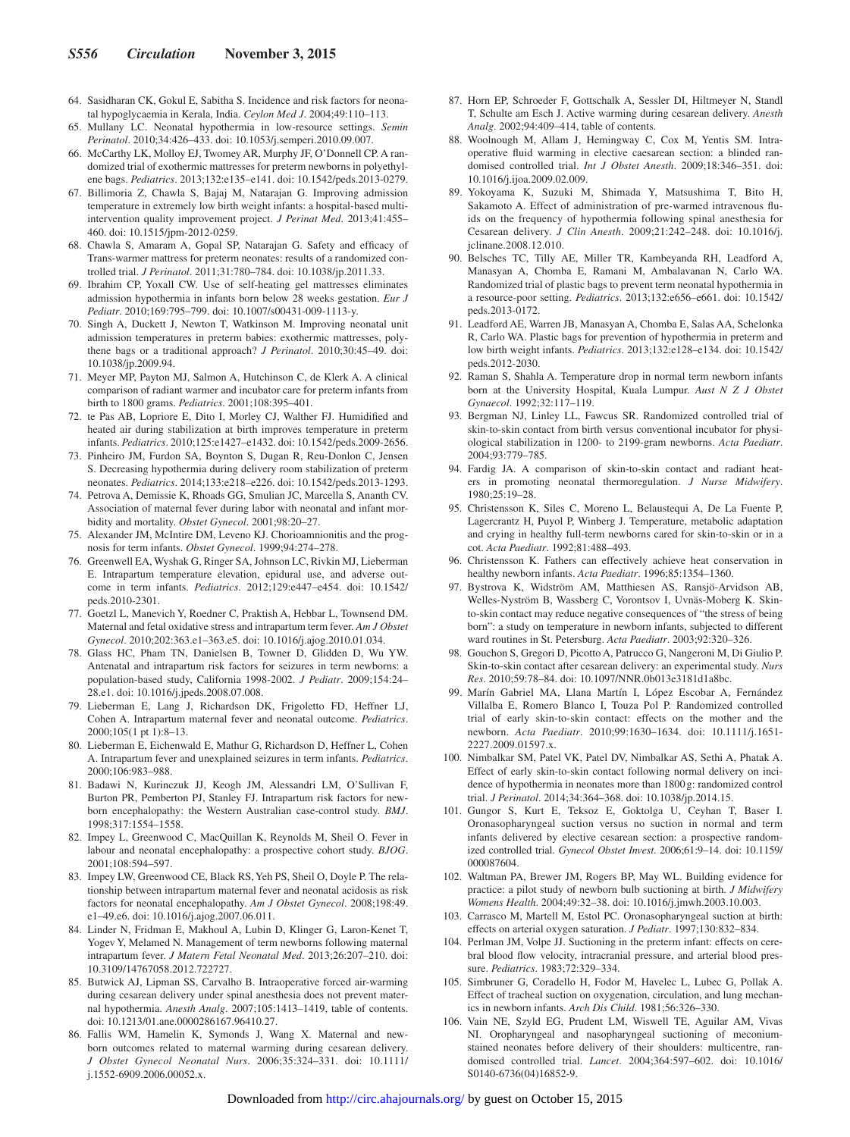- 64. Sasidharan CK, Gokul E, Sabitha S. Incidence and risk factors for neonatal hypoglycaemia in Kerala, India. *Ceylon Med J*. 2004;49:110–113.
- 65. Mullany LC. Neonatal hypothermia in low-resource settings. *Semin Perinatol*. 2010;34:426–433. doi: 10.1053/j.semperi.2010.09.007.
- 66. McCarthy LK, Molloy EJ, Twomey AR, Murphy JF, O'Donnell CP. A randomized trial of exothermic mattresses for preterm newborns in polyethylene bags. *Pediatrics*. 2013;132:e135–e141. doi: 10.1542/peds.2013-0279.
- 67. Billimoria Z, Chawla S, Bajaj M, Natarajan G. Improving admission temperature in extremely low birth weight infants: a hospital-based multiintervention quality improvement project. *J Perinat Med*. 2013;41:455– 460. doi: 10.1515/jpm-2012-0259.
- 68. Chawla S, Amaram A, Gopal SP, Natarajan G. Safety and efficacy of Trans-warmer mattress for preterm neonates: results of a randomized controlled trial. *J Perinatol*. 2011;31:780–784. doi: 10.1038/jp.2011.33.
- 69. Ibrahim CP, Yoxall CW. Use of self-heating gel mattresses eliminates admission hypothermia in infants born below 28 weeks gestation. *Eur J Pediatr*. 2010;169:795–799. doi: 10.1007/s00431-009-1113-y.
- 70. Singh A, Duckett J, Newton T, Watkinson M. Improving neonatal unit admission temperatures in preterm babies: exothermic mattresses, polythene bags or a traditional approach? *J Perinatol*. 2010;30:45–49. doi: 10.1038/jp.2009.94.
- 71. Meyer MP, Payton MJ, Salmon A, Hutchinson C, de Klerk A. A clinical comparison of radiant warmer and incubator care for preterm infants from birth to 1800 grams. *Pediatrics*. 2001;108:395–401.
- 72. te Pas AB, Lopriore E, Dito I, Morley CJ, Walther FJ. Humidified and heated air during stabilization at birth improves temperature in preterm infants. *Pediatrics*. 2010;125:e1427–e1432. doi: 10.1542/peds.2009-2656.
- 73. Pinheiro JM, Furdon SA, Boynton S, Dugan R, Reu-Donlon C, Jensen S. Decreasing hypothermia during delivery room stabilization of preterm neonates. *Pediatrics*. 2014;133:e218–e226. doi: 10.1542/peds.2013-1293.
- 74. Petrova A, Demissie K, Rhoads GG, Smulian JC, Marcella S, Ananth CV. Association of maternal fever during labor with neonatal and infant morbidity and mortality. *Obstet Gynecol*. 2001;98:20–27.
- 75. Alexander JM, McIntire DM, Leveno KJ. Chorioamnionitis and the prognosis for term infants. *Obstet Gynecol*. 1999;94:274–278.
- 76. Greenwell EA, Wyshak G, Ringer SA, Johnson LC, Rivkin MJ, Lieberman E. Intrapartum temperature elevation, epidural use, and adverse outcome in term infants. *Pediatrics*. 2012;129:e447–e454. doi: 10.1542/ peds.2010-2301.
- 77. Goetzl L, Manevich Y, Roedner C, Praktish A, Hebbar L, Townsend DM. Maternal and fetal oxidative stress and intrapartum term fever. *Am J Obstet Gynecol*. 2010;202:363.e1–363.e5. doi: 10.1016/j.ajog.2010.01.034.
- 78. Glass HC, Pham TN, Danielsen B, Towner D, Glidden D, Wu YW. Antenatal and intrapartum risk factors for seizures in term newborns: a population-based study, California 1998-2002. *J Pediatr*. 2009;154:24– 28.e1. doi: 10.1016/j.jpeds.2008.07.008.
- 79. Lieberman E, Lang J, Richardson DK, Frigoletto FD, Heffner LJ, Cohen A. Intrapartum maternal fever and neonatal outcome. *Pediatrics*. 2000;105(1 pt 1):8–13.
- 80. Lieberman E, Eichenwald E, Mathur G, Richardson D, Heffner L, Cohen A. Intrapartum fever and unexplained seizures in term infants. *Pediatrics*. 2000;106:983–988.
- 81. Badawi N, Kurinczuk JJ, Keogh JM, Alessandri LM, O'Sullivan F, Burton PR, Pemberton PJ, Stanley FJ. Intrapartum risk factors for newborn encephalopathy: the Western Australian case-control study. *BMJ*. 1998;317:1554–1558.
- 82. Impey L, Greenwood C, MacQuillan K, Reynolds M, Sheil O. Fever in labour and neonatal encephalopathy: a prospective cohort study. *BJOG*. 2001;108:594–597.
- 83. Impey LW, Greenwood CE, Black RS, Yeh PS, Sheil O, Doyle P. The relationship between intrapartum maternal fever and neonatal acidosis as risk factors for neonatal encephalopathy. *Am J Obstet Gynecol*. 2008;198:49. e1–49.e6. doi: 10.1016/j.ajog.2007.06.011.
- 84. Linder N, Fridman E, Makhoul A, Lubin D, Klinger G, Laron-Kenet T, Yogev Y, Melamed N. Management of term newborns following maternal intrapartum fever. *J Matern Fetal Neonatal Med*. 2013;26:207–210. doi: 10.3109/14767058.2012.722727.
- 85. Butwick AJ, Lipman SS, Carvalho B. Intraoperative forced air-warming during cesarean delivery under spinal anesthesia does not prevent maternal hypothermia. *Anesth Analg*. 2007;105:1413–1419, table of contents. doi: 10.1213/01.ane.0000286167.96410.27.
- 86. Fallis WM, Hamelin K, Symonds J, Wang X. Maternal and newborn outcomes related to maternal warming during cesarean delivery. *J Obstet Gynecol Neonatal Nurs*. 2006;35:324–331. doi: 10.1111/ j.1552-6909.2006.00052.x.
- 87. Horn EP, Schroeder F, Gottschalk A, Sessler DI, Hiltmeyer N, Standl T, Schulte am Esch J. Active warming during cesarean delivery. *Anesth Analg*. 2002;94:409–414, table of contents.
- 88. Woolnough M, Allam J, Hemingway C, Cox M, Yentis SM. Intraoperative fluid warming in elective caesarean section: a blinded randomised controlled trial. *Int J Obstet Anesth*. 2009;18:346–351. doi: 10.1016/j.ijoa.2009.02.009.
- 89. Yokoyama K, Suzuki M, Shimada Y, Matsushima T, Bito H, Sakamoto A. Effect of administration of pre-warmed intravenous fluids on the frequency of hypothermia following spinal anesthesia for Cesarean delivery. *J Clin Anesth*. 2009;21:242–248. doi: 10.1016/j. jclinane.2008.12.010.
- 90. Belsches TC, Tilly AE, Miller TR, Kambeyanda RH, Leadford A, Manasyan A, Chomba E, Ramani M, Ambalavanan N, Carlo WA. Randomized trial of plastic bags to prevent term neonatal hypothermia in a resource-poor setting. *Pediatrics*. 2013;132:e656–e661. doi: 10.1542/ peds.2013-0172.
- 91. Leadford AE, Warren JB, Manasyan A, Chomba E, Salas AA, Schelonka R, Carlo WA. Plastic bags for prevention of hypothermia in preterm and low birth weight infants. *Pediatrics*. 2013;132:e128–e134. doi: 10.1542/ peds.2012-2030.
- 92. Raman S, Shahla A. Temperature drop in normal term newborn infants born at the University Hospital, Kuala Lumpur. *Aust N Z J Obstet Gynaecol*. 1992;32:117–119.
- 93. Bergman NJ, Linley LL, Fawcus SR. Randomized controlled trial of skin-to-skin contact from birth versus conventional incubator for physiological stabilization in 1200- to 2199-gram newborns. *Acta Paediatr*. 2004;93:779–785.
- 94. Fardig JA. A comparison of skin-to-skin contact and radiant heaters in promoting neonatal thermoregulation. *J Nurse Midwifery*. 1980;25:19–28.
- 95. Christensson K, Siles C, Moreno L, Belaustequi A, De La Fuente P, Lagercrantz H, Puyol P, Winberg J. Temperature, metabolic adaptation and crying in healthy full-term newborns cared for skin-to-skin or in a cot. *Acta Paediatr*. 1992;81:488–493.
- 96. Christensson K. Fathers can effectively achieve heat conservation in healthy newborn infants. *Acta Paediatr*. 1996;85:1354–1360.
- 97. Bystrova K, Widström AM, Matthiesen AS, Ransjö-Arvidson AB, Welles-Nyström B, Wassberg C, Vorontsov I, Uvnäs-Moberg K. Skinto-skin contact may reduce negative consequences of "the stress of being born": a study on temperature in newborn infants, subjected to different ward routines in St. Petersburg. *Acta Paediatr*. 2003;92:320–326.
- 98. Gouchon S, Gregori D, Picotto A, Patrucco G, Nangeroni M, Di Giulio P. Skin-to-skin contact after cesarean delivery: an experimental study. *Nurs Res*. 2010;59:78–84. doi: 10.1097/NNR.0b013e3181d1a8bc.
- 99. Marín Gabriel MA, Llana Martín I, López Escobar A, Fernández Villalba E, Romero Blanco I, Touza Pol P. Randomized controlled trial of early skin-to-skin contact: effects on the mother and the newborn. *Acta Paediatr*. 2010;99:1630–1634. doi: 10.1111/j.1651- 2227.2009.01597.x.
- 100. Nimbalkar SM, Patel VK, Patel DV, Nimbalkar AS, Sethi A, Phatak A. Effect of early skin-to-skin contact following normal delivery on incidence of hypothermia in neonates more than 1800 g: randomized control trial. *J Perinatol*. 2014;34:364–368. doi: 10.1038/jp.2014.15.
- 101. Gungor S, Kurt E, Teksoz E, Goktolga U, Ceyhan T, Baser I. Oronasopharyngeal suction versus no suction in normal and term infants delivered by elective cesarean section: a prospective randomized controlled trial. *Gynecol Obstet Invest*. 2006;61:9–14. doi: 10.1159/ 000087604.
- 102. Waltman PA, Brewer JM, Rogers BP, May WL. Building evidence for practice: a pilot study of newborn bulb suctioning at birth. *J Midwifery Womens Health*. 2004;49:32–38. doi: 10.1016/j.jmwh.2003.10.003.
- 103. Carrasco M, Martell M, Estol PC. Oronasopharyngeal suction at birth: effects on arterial oxygen saturation. *J Pediatr*. 1997;130:832–834.
- 104. Perlman JM, Volpe JJ. Suctioning in the preterm infant: effects on cerebral blood flow velocity, intracranial pressure, and arterial blood pressure. *Pediatrics*. 1983;72:329–334.
- 105. Simbruner G, Coradello H, Fodor M, Havelec L, Lubec G, Pollak A. Effect of tracheal suction on oxygenation, circulation, and lung mechanics in newborn infants. *Arch Dis Child*. 1981;56:326–330.
- 106. Vain NE, Szyld EG, Prudent LM, Wiswell TE, Aguilar AM, Vivas NI. Oropharyngeal and nasopharyngeal suctioning of meconiumstained neonates before delivery of their shoulders: multicentre, randomised controlled trial. *Lancet*. 2004;364:597–602. doi: 10.1016/ S0140-6736(04)16852-9.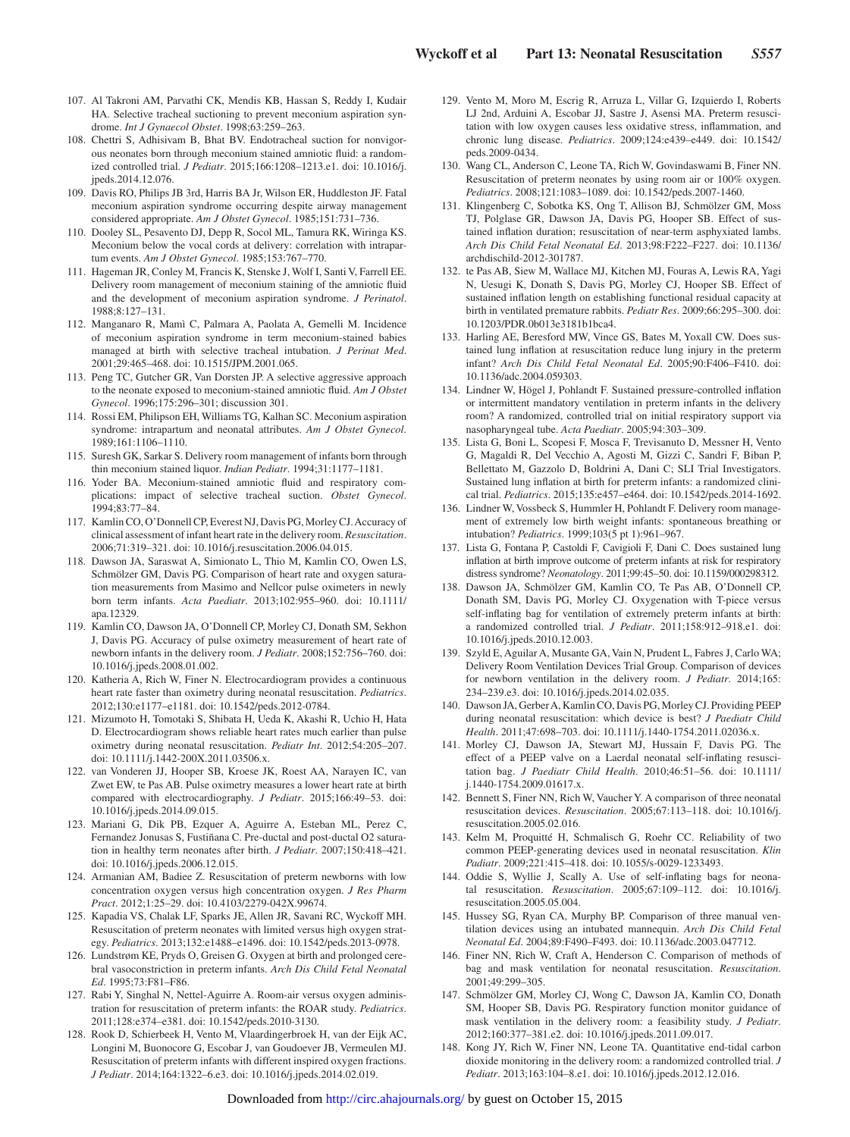- 107. Al Takroni AM, Parvathi CK, Mendis KB, Hassan S, Reddy I, Kudair HA. Selective tracheal suctioning to prevent meconium aspiration syndrome. *Int J Gynaecol Obstet*. 1998;63:259–263.
- 108. Chettri S, Adhisivam B, Bhat BV. Endotracheal suction for nonvigorous neonates born through meconium stained amniotic fluid: a randomized controlled trial. *J Pediatr*. 2015;166:1208–1213.e1. doi: 10.1016/j. jpeds.2014.12.076.
- 109. Davis RO, Philips JB 3rd, Harris BA Jr, Wilson ER, Huddleston JF. Fatal meconium aspiration syndrome occurring despite airway management considered appropriate. *Am J Obstet Gynecol*. 1985;151:731–736.
- 110. Dooley SL, Pesavento DJ, Depp R, Socol ML, Tamura RK, Wiringa KS. Meconium below the vocal cords at delivery: correlation with intrapartum events. *Am J Obstet Gynecol*. 1985;153:767–770.
- 111. Hageman JR, Conley M, Francis K, Stenske J, Wolf I, Santi V, Farrell EE. Delivery room management of meconium staining of the amniotic fluid and the development of meconium aspiration syndrome. *J Perinatol*. 1988;8:127–131.
- 112. Manganaro R, Mamì C, Palmara A, Paolata A, Gemelli M. Incidence of meconium aspiration syndrome in term meconium-stained babies managed at birth with selective tracheal intubation. *J Perinat Med*. 2001;29:465–468. doi: 10.1515/JPM.2001.065.
- 113. Peng TC, Gutcher GR, Van Dorsten JP. A selective aggressive approach to the neonate exposed to meconium-stained amniotic fluid. *Am J Obstet Gynecol*. 1996;175:296–301; discussion 301.
- 114. Rossi EM, Philipson EH, Williams TG, Kalhan SC. Meconium aspiration syndrome: intrapartum and neonatal attributes. *Am J Obstet Gynecol*. 1989;161:1106–1110.
- 115. Suresh GK, Sarkar S. Delivery room management of infants born through thin meconium stained liquor. *Indian Pediatr*. 1994;31:1177–1181.
- 116. Yoder BA. Meconium-stained amniotic fluid and respiratory complications: impact of selective tracheal suction. *Obstet Gynecol*. 1994;83:77–84.
- 117. Kamlin CO, O'Donnell CP, Everest NJ, Davis PG, Morley CJ. Accuracy of clinical assessment of infant heart rate in the delivery room. *Resuscitation*. 2006;71:319–321. doi: 10.1016/j.resuscitation.2006.04.015.
- 118. Dawson JA, Saraswat A, Simionato L, Thio M, Kamlin CO, Owen LS, Schmölzer GM, Davis PG. Comparison of heart rate and oxygen saturation measurements from Masimo and Nellcor pulse oximeters in newly born term infants. *Acta Paediatr*. 2013;102:955–960. doi: 10.1111/ apa.12329.
- 119. Kamlin CO, Dawson JA, O'Donnell CP, Morley CJ, Donath SM, Sekhon J, Davis PG. Accuracy of pulse oximetry measurement of heart rate of newborn infants in the delivery room. *J Pediatr*. 2008;152:756–760. doi: 10.1016/j.jpeds.2008.01.002.
- 120. Katheria A, Rich W, Finer N. Electrocardiogram provides a continuous heart rate faster than oximetry during neonatal resuscitation. *Pediatrics*. 2012;130:e1177–e1181. doi: 10.1542/peds.2012-0784.
- 121. Mizumoto H, Tomotaki S, Shibata H, Ueda K, Akashi R, Uchio H, Hata D. Electrocardiogram shows reliable heart rates much earlier than pulse oximetry during neonatal resuscitation. *Pediatr Int*. 2012;54:205–207. doi: 10.1111/j.1442-200X.2011.03506.x.
- 122. van Vonderen JJ, Hooper SB, Kroese JK, Roest AA, Narayen IC, van Zwet EW, te Pas AB. Pulse oximetry measures a lower heart rate at birth compared with electrocardiography. *J Pediatr*. 2015;166:49–53. doi: 10.1016/j.jpeds.2014.09.015.
- 123. Mariani G, Dik PB, Ezquer A, Aguirre A, Esteban ML, Perez C, Fernandez Jonusas S, Fustiñana C. Pre-ductal and post-ductal O2 saturation in healthy term neonates after birth. *J Pediatr*. 2007;150:418–421. doi: 10.1016/j.jpeds.2006.12.015.
- 124. Armanian AM, Badiee Z. Resuscitation of preterm newborns with low concentration oxygen versus high concentration oxygen. *J Res Pharm Pract*. 2012;1:25–29. doi: 10.4103/2279-042X.99674.
- 125. Kapadia VS, Chalak LF, Sparks JE, Allen JR, Savani RC, Wyckoff MH. Resuscitation of preterm neonates with limited versus high oxygen strategy. *Pediatrics*. 2013;132:e1488–e1496. doi: 10.1542/peds.2013-0978.
- 126. Lundstrøm KE, Pryds O, Greisen G. Oxygen at birth and prolonged cerebral vasoconstriction in preterm infants. *Arch Dis Child Fetal Neonatal Ed*. 1995;73:F81–F86.
- 127. Rabi Y, Singhal N, Nettel-Aguirre A. Room-air versus oxygen administration for resuscitation of preterm infants: the ROAR study. *Pediatrics*. 2011;128:e374–e381. doi: 10.1542/peds.2010-3130.
- 128. Rook D, Schierbeek H, Vento M, Vlaardingerbroek H, van der Eijk AC, Longini M, Buonocore G, Escobar J, van Goudoever JB, Vermeulen MJ. Resuscitation of preterm infants with different inspired oxygen fractions. *J Pediatr*. 2014;164:1322–6.e3. doi: 10.1016/j.jpeds.2014.02.019.
- 129. Vento M, Moro M, Escrig R, Arruza L, Villar G, Izquierdo I, Roberts LJ 2nd, Arduini A, Escobar JJ, Sastre J, Asensi MA. Preterm resuscitation with low oxygen causes less oxidative stress, inflammation, and chronic lung disease. *Pediatrics*. 2009;124:e439–e449. doi: 10.1542/ peds.2009-0434.
- 130. Wang CL, Anderson C, Leone TA, Rich W, Govindaswami B, Finer NN. Resuscitation of preterm neonates by using room air or 100% oxygen. *Pediatrics*. 2008;121:1083–1089. doi: 10.1542/peds.2007-1460.
- 131. Klingenberg C, Sobotka KS, Ong T, Allison BJ, Schmölzer GM, Moss TJ, Polglase GR, Dawson JA, Davis PG, Hooper SB. Effect of sustained inflation duration; resuscitation of near-term asphyxiated lambs. *Arch Dis Child Fetal Neonatal Ed*. 2013;98:F222–F227. doi: 10.1136/ archdischild-2012-301787.
- 132. te Pas AB, Siew M, Wallace MJ, Kitchen MJ, Fouras A, Lewis RA, Yagi N, Uesugi K, Donath S, Davis PG, Morley CJ, Hooper SB. Effect of sustained inflation length on establishing functional residual capacity at birth in ventilated premature rabbits. *Pediatr Res*. 2009;66:295–300. doi: 10.1203/PDR.0b013e3181b1bca4.
- 133. Harling AE, Beresford MW, Vince GS, Bates M, Yoxall CW. Does sustained lung inflation at resuscitation reduce lung injury in the preterm infant? *Arch Dis Child Fetal Neonatal Ed*. 2005;90:F406–F410. doi: 10.1136/adc.2004.059303.
- 134. Lindner W, Högel J, Pohlandt F. Sustained pressure-controlled inflation or intermittent mandatory ventilation in preterm infants in the delivery room? A randomized, controlled trial on initial respiratory support via nasopharyngeal tube. *Acta Paediatr*. 2005;94:303–309.
- 135. Lista G, Boni L, Scopesi F, Mosca F, Trevisanuto D, Messner H, Vento G, Magaldi R, Del Vecchio A, Agosti M, Gizzi C, Sandri F, Biban P, Bellettato M, Gazzolo D, Boldrini A, Dani C; SLI Trial Investigators. Sustained lung inflation at birth for preterm infants: a randomized clinical trial. *Pediatrics*. 2015;135:e457–e464. doi: 10.1542/peds.2014-1692.
- 136. Lindner W, Vossbeck S, Hummler H, Pohlandt F. Delivery room management of extremely low birth weight infants: spontaneous breathing or intubation? *Pediatrics*. 1999;103(5 pt 1):961–967.
- 137. Lista G, Fontana P, Castoldi F, Cavigioli F, Dani C. Does sustained lung inflation at birth improve outcome of preterm infants at risk for respiratory distress syndrome? *Neonatology*. 2011;99:45–50. doi: 10.1159/000298312.
- 138. Dawson JA, Schmölzer GM, Kamlin CO, Te Pas AB, O'Donnell CP, Donath SM, Davis PG, Morley CJ. Oxygenation with T-piece versus self-inflating bag for ventilation of extremely preterm infants at birth: a randomized controlled trial. *J Pediatr*. 2011;158:912–918.e1. doi: 10.1016/j.jpeds.2010.12.003.
- 139. Szyld E, Aguilar A, Musante GA, Vain N, Prudent L, Fabres J, Carlo WA; Delivery Room Ventilation Devices Trial Group. Comparison of devices for newborn ventilation in the delivery room. *J Pediatr*. 2014;165: 234–239.e3. doi: 10.1016/j.jpeds.2014.02.035.
- 140. Dawson JA, Gerber A, Kamlin CO, Davis PG, Morley CJ. Providing PEEP during neonatal resuscitation: which device is best? *J Paediatr Child Health*. 2011;47:698–703. doi: 10.1111/j.1440-1754.2011.02036.x.
- 141. Morley CJ, Dawson JA, Stewart MJ, Hussain F, Davis PG. The effect of a PEEP valve on a Laerdal neonatal self-inflating resuscitation bag. *J Paediatr Child Health*. 2010;46:51–56. doi: 10.1111/ j.1440-1754.2009.01617.x.
- 142. Bennett S, Finer NN, Rich W, Vaucher Y. A comparison of three neonatal resuscitation devices. *Resuscitation*. 2005;67:113–118. doi: 10.1016/j. resuscitation.2005.02.016.
- 143. Kelm M, Proquitté H, Schmalisch G, Roehr CC. Reliability of two common PEEP-generating devices used in neonatal resuscitation. *Klin Padiatr*. 2009;221:415–418. doi: 10.1055/s-0029-1233493.
- 144. Oddie S, Wyllie J, Scally A. Use of self-inflating bags for neonatal resuscitation. *Resuscitation*. 2005;67:109–112. doi: 10.1016/j. resuscitation.2005.05.004.
- 145. Hussey SG, Ryan CA, Murphy BP. Comparison of three manual ventilation devices using an intubated mannequin. *Arch Dis Child Fetal Neonatal Ed*. 2004;89:F490–F493. doi: 10.1136/adc.2003.047712.
- 146. Finer NN, Rich W, Craft A, Henderson C. Comparison of methods of bag and mask ventilation for neonatal resuscitation. *Resuscitation*. 2001;49:299–305.
- 147. Schmölzer GM, Morley CJ, Wong C, Dawson JA, Kamlin CO, Donath SM, Hooper SB, Davis PG. Respiratory function monitor guidance of mask ventilation in the delivery room: a feasibility study. *J Pediatr*. 2012;160:377–381.e2. doi: 10.1016/j.jpeds.2011.09.017.
- 148. Kong JY, Rich W, Finer NN, Leone TA. Quantitative end-tidal carbon dioxide monitoring in the delivery room: a randomized controlled trial. *J Pediatr*. 2013;163:104–8.e1. doi: 10.1016/j.jpeds.2012.12.016.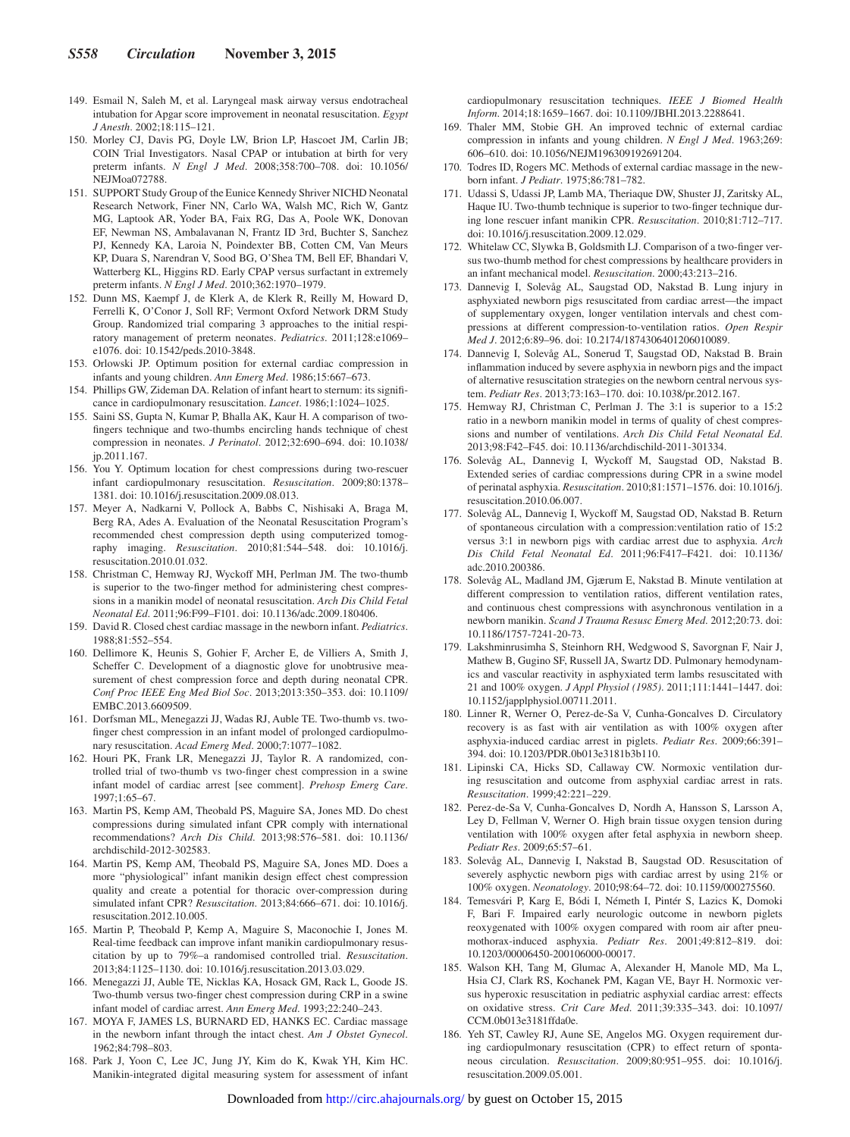- 149. Esmail N, Saleh M, et al. Laryngeal mask airway versus endotracheal intubation for Apgar score improvement in neonatal resuscitation. *Egypt J Anesth*. 2002;18:115–121.
- 150. Morley CJ, Davis PG, Doyle LW, Brion LP, Hascoet JM, Carlin JB; COIN Trial Investigators. Nasal CPAP or intubation at birth for very preterm infants. *N Engl J Med*. 2008;358:700–708. doi: 10.1056/ NEJM<sub>03</sub>072788
- 151. SUPPORT Study Group of the Eunice Kennedy Shriver NICHD Neonatal Research Network, Finer NN, Carlo WA, Walsh MC, Rich W, Gantz MG, Laptook AR, Yoder BA, Faix RG, Das A, Poole WK, Donovan EF, Newman NS, Ambalavanan N, Frantz ID 3rd, Buchter S, Sanchez PJ, Kennedy KA, Laroia N, Poindexter BB, Cotten CM, Van Meurs KP, Duara S, Narendran V, Sood BG, O'Shea TM, Bell EF, Bhandari V, Watterberg KL, Higgins RD. Early CPAP versus surfactant in extremely preterm infants. *N Engl J Med*. 2010;362:1970–1979.
- 152. Dunn MS, Kaempf J, de Klerk A, de Klerk R, Reilly M, Howard D, Ferrelli K, O'Conor J, Soll RF; Vermont Oxford Network DRM Study Group. Randomized trial comparing 3 approaches to the initial respiratory management of preterm neonates. *Pediatrics*. 2011;128:e1069– e1076. doi: 10.1542/peds.2010-3848.
- 153. Orlowski JP. Optimum position for external cardiac compression in infants and young children. *Ann Emerg Med*. 1986;15:667–673.
- 154. Phillips GW, Zideman DA. Relation of infant heart to sternum: its significance in cardiopulmonary resuscitation. *Lancet*. 1986;1:1024–1025.
- 155. Saini SS, Gupta N, Kumar P, Bhalla AK, Kaur H. A comparison of twofingers technique and two-thumbs encircling hands technique of chest compression in neonates. *J Perinatol*. 2012;32:690–694. doi: 10.1038/ jp.2011.167.
- 156. You Y. Optimum location for chest compressions during two-rescuer infant cardiopulmonary resuscitation. *Resuscitation*. 2009;80:1378– 1381. doi: 10.1016/j.resuscitation.2009.08.013.
- 157. Meyer A, Nadkarni V, Pollock A, Babbs C, Nishisaki A, Braga M, Berg RA, Ades A. Evaluation of the Neonatal Resuscitation Program's recommended chest compression depth using computerized tomography imaging. *Resuscitation*. 2010;81:544–548. doi: 10.1016/j. resuscitation.2010.01.032.
- 158. Christman C, Hemway RJ, Wyckoff MH, Perlman JM. The two-thumb is superior to the two-finger method for administering chest compressions in a manikin model of neonatal resuscitation. *Arch Dis Child Fetal Neonatal Ed*. 2011;96:F99–F101. doi: 10.1136/adc.2009.180406.
- 159. David R. Closed chest cardiac massage in the newborn infant. *Pediatrics*. 1988;81:552–554.
- 160. Dellimore K, Heunis S, Gohier F, Archer E, de Villiers A, Smith J, Scheffer C. Development of a diagnostic glove for unobtrusive measurement of chest compression force and depth during neonatal CPR. *Conf Proc IEEE Eng Med Biol Soc*. 2013;2013:350–353. doi: 10.1109/ EMBC.2013.6609509.
- 161. Dorfsman ML, Menegazzi JJ, Wadas RJ, Auble TE. Two-thumb vs. twofinger chest compression in an infant model of prolonged cardiopulmonary resuscitation. *Acad Emerg Med*. 2000;7:1077–1082.
- 162. Houri PK, Frank LR, Menegazzi JJ, Taylor R. A randomized, controlled trial of two-thumb vs two-finger chest compression in a swine infant model of cardiac arrest [see comment]. *Prehosp Emerg Care*. 1997;1:65–67.
- 163. Martin PS, Kemp AM, Theobald PS, Maguire SA, Jones MD. Do chest compressions during simulated infant CPR comply with international recommendations? *Arch Dis Child*. 2013;98:576–581. doi: 10.1136/ archdischild-2012-302583.
- 164. Martin PS, Kemp AM, Theobald PS, Maguire SA, Jones MD. Does a more "physiological" infant manikin design effect chest compression quality and create a potential for thoracic over-compression during simulated infant CPR? *Resuscitation*. 2013;84:666–671. doi: 10.1016/j. resuscitation.2012.10.005.
- 165. Martin P, Theobald P, Kemp A, Maguire S, Maconochie I, Jones M. Real-time feedback can improve infant manikin cardiopulmonary resuscitation by up to 79%–a randomised controlled trial. *Resuscitation*. 2013;84:1125–1130. doi: 10.1016/j.resuscitation.2013.03.029.
- 166. Menegazzi JJ, Auble TE, Nicklas KA, Hosack GM, Rack L, Goode JS. Two-thumb versus two-finger chest compression during CRP in a swine infant model of cardiac arrest. *Ann Emerg Med*. 1993;22:240–243.
- 167. MOYA F, JAMES LS, BURNARD ED, HANKS EC. Cardiac massage in the newborn infant through the intact chest. *Am J Obstet Gynecol*. 1962;84:798–803.
- 168. Park J, Yoon C, Lee JC, Jung JY, Kim do K, Kwak YH, Kim HC. Manikin-integrated digital measuring system for assessment of infant

cardiopulmonary resuscitation techniques. *IEEE J Biomed Health Inform*. 2014;18:1659–1667. doi: 10.1109/JBHI.2013.2288641.

- 169. Thaler MM, Stobie GH. An improved technic of external cardiac compression in infants and young children. *N Engl J Med*. 1963;269: 606–610. doi: 10.1056/NEJM196309192691204.
- 170. Todres ID, Rogers MC. Methods of external cardiac massage in the newborn infant. *J Pediatr*. 1975;86:781–782.
- 171. Udassi S, Udassi JP, Lamb MA, Theriaque DW, Shuster JJ, Zaritsky AL, Haque IU. Two-thumb technique is superior to two-finger technique during lone rescuer infant manikin CPR. *Resuscitation*. 2010;81:712–717. doi: 10.1016/j.resuscitation.2009.12.029.
- 172. Whitelaw CC, Slywka B, Goldsmith LJ. Comparison of a two-finger versus two-thumb method for chest compressions by healthcare providers in an infant mechanical model. *Resuscitation*. 2000;43:213–216.
- 173. Dannevig I, Solevåg AL, Saugstad OD, Nakstad B. Lung injury in asphyxiated newborn pigs resuscitated from cardiac arrest—the impact of supplementary oxygen, longer ventilation intervals and chest compressions at different compression-to-ventilation ratios. *Open Respir Med J*. 2012;6:89–96. doi: 10.2174/1874306401206010089.
- 174. Dannevig I, Solevåg AL, Sonerud T, Saugstad OD, Nakstad B. Brain inflammation induced by severe asphyxia in newborn pigs and the impact of alternative resuscitation strategies on the newborn central nervous system. *Pediatr Res*. 2013;73:163–170. doi: 10.1038/pr.2012.167.
- 175. Hemway RJ, Christman C, Perlman J. The 3:1 is superior to a 15:2 ratio in a newborn manikin model in terms of quality of chest compressions and number of ventilations. *Arch Dis Child Fetal Neonatal Ed*. 2013;98:F42–F45. doi: 10.1136/archdischild-2011-301334.
- 176. Solevåg AL, Dannevig I, Wyckoff M, Saugstad OD, Nakstad B. Extended series of cardiac compressions during CPR in a swine model of perinatal asphyxia. *Resuscitation*. 2010;81:1571–1576. doi: 10.1016/j. resuscitation.2010.06.007.
- 177. Solevåg AL, Dannevig I, Wyckoff M, Saugstad OD, Nakstad B. Return of spontaneous circulation with a compression:ventilation ratio of 15:2 versus 3:1 in newborn pigs with cardiac arrest due to asphyxia. *Arch Dis Child Fetal Neonatal Ed*. 2011;96:F417–F421. doi: 10.1136/ adc.2010.200386.
- 178. Solevåg AL, Madland JM, Gjærum E, Nakstad B. Minute ventilation at different compression to ventilation ratios, different ventilation rates, and continuous chest compressions with asynchronous ventilation in a newborn manikin. *Scand J Trauma Resusc Emerg Med*. 2012;20:73. doi: 10.1186/1757-7241-20-73.
- 179. Lakshminrusimha S, Steinhorn RH, Wedgwood S, Savorgnan F, Nair J, Mathew B, Gugino SF, Russell JA, Swartz DD. Pulmonary hemodynamics and vascular reactivity in asphyxiated term lambs resuscitated with 21 and 100% oxygen. *J Appl Physiol (1985)*. 2011;111:1441–1447. doi: 10.1152/japplphysiol.00711.2011.
- 180. Linner R, Werner O, Perez-de-Sa V, Cunha-Goncalves D. Circulatory recovery is as fast with air ventilation as with 100% oxygen after asphyxia-induced cardiac arrest in piglets. *Pediatr Res*. 2009;66:391– 394. doi: 10.1203/PDR.0b013e3181b3b110.
- 181. Lipinski CA, Hicks SD, Callaway CW. Normoxic ventilation during resuscitation and outcome from asphyxial cardiac arrest in rats. *Resuscitation*. 1999;42:221–229.
- 182. Perez-de-Sa V, Cunha-Goncalves D, Nordh A, Hansson S, Larsson A, Ley D, Fellman V, Werner O. High brain tissue oxygen tension during ventilation with 100% oxygen after fetal asphyxia in newborn sheep. *Pediatr Res*. 2009;65:57–61.
- 183. Solevåg AL, Dannevig I, Nakstad B, Saugstad OD. Resuscitation of severely asphyctic newborn pigs with cardiac arrest by using 21% or 100% oxygen. *Neonatology*. 2010;98:64–72. doi: 10.1159/000275560.
- 184. Temesvári P, Karg E, Bódi I, Németh I, Pintér S, Lazics K, Domoki F, Bari F. Impaired early neurologic outcome in newborn piglets reoxygenated with 100% oxygen compared with room air after pneumothorax-induced asphyxia. *Pediatr Res*. 2001;49:812–819. doi: 10.1203/00006450-200106000-00017.
- 185. Walson KH, Tang M, Glumac A, Alexander H, Manole MD, Ma L, Hsia CJ, Clark RS, Kochanek PM, Kagan VE, Bayr H. Normoxic versus hyperoxic resuscitation in pediatric asphyxial cardiac arrest: effects on oxidative stress. *Crit Care Med*. 2011;39:335–343. doi: 10.1097/ CCM.0b013e3181ffda0e.
- 186. Yeh ST, Cawley RJ, Aune SE, Angelos MG. Oxygen requirement during cardiopulmonary resuscitation (CPR) to effect return of spontaneous circulation. *Resuscitation*. 2009;80:951–955. doi: 10.1016/j. resuscitation.2009.05.001.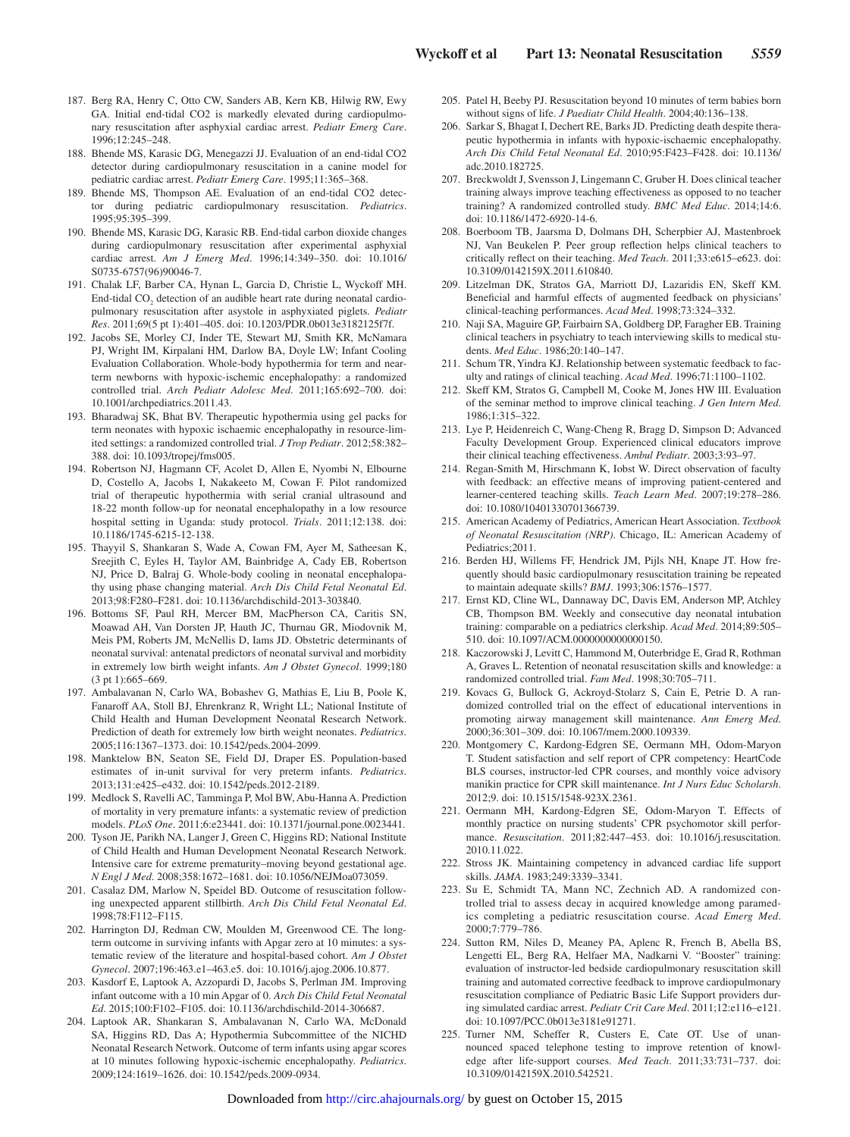- 187. Berg RA, Henry C, Otto CW, Sanders AB, Kern KB, Hilwig RW, Ewy GA. Initial end-tidal CO2 is markedly elevated during cardiopulmonary resuscitation after asphyxial cardiac arrest. *Pediatr Emerg Care*. 1996;12:245–248.
- 188. Bhende MS, Karasic DG, Menegazzi JJ. Evaluation of an end-tidal CO2 detector during cardiopulmonary resuscitation in a canine model for pediatric cardiac arrest. *Pediatr Emerg Care*. 1995;11:365–368.
- 189. Bhende MS, Thompson AE. Evaluation of an end-tidal CO2 detector during pediatric cardiopulmonary resuscitation. *Pediatrics*. 1995;95:395–399.
- 190. Bhende MS, Karasic DG, Karasic RB. End-tidal carbon dioxide changes during cardiopulmonary resuscitation after experimental asphyxial cardiac arrest. *Am J Emerg Med*. 1996;14:349–350. doi: 10.1016/ S0735-6757(96)90046-7.
- 191. Chalak LF, Barber CA, Hynan L, Garcia D, Christie L, Wyckoff MH. End-tidal  $CO<sub>2</sub>$  detection of an audible heart rate during neonatal cardiopulmonary resuscitation after asystole in asphyxiated piglets. *Pediatr Res*. 2011;69(5 pt 1):401–405. doi: 10.1203/PDR.0b013e3182125f7f.
- 192. Jacobs SE, Morley CJ, Inder TE, Stewart MJ, Smith KR, McNamara PJ, Wright IM, Kirpalani HM, Darlow BA, Doyle LW; Infant Cooling Evaluation Collaboration. Whole-body hypothermia for term and nearterm newborns with hypoxic-ischemic encephalopathy: a randomized controlled trial. *Arch Pediatr Adolesc Med*. 2011;165:692–700. doi: 10.1001/archpediatrics.2011.43.
- 193. Bharadwaj SK, Bhat BV. Therapeutic hypothermia using gel packs for term neonates with hypoxic ischaemic encephalopathy in resource-limited settings: a randomized controlled trial. *J Trop Pediatr*. 2012;58:382– 388. doi: 10.1093/tropej/fms005.
- 194. Robertson NJ, Hagmann CF, Acolet D, Allen E, Nyombi N, Elbourne D, Costello A, Jacobs I, Nakakeeto M, Cowan F. Pilot randomized trial of therapeutic hypothermia with serial cranial ultrasound and 18-22 month follow-up for neonatal encephalopathy in a low resource hospital setting in Uganda: study protocol. *Trials*. 2011;12:138. doi: 10.1186/1745-6215-12-138.
- 195. Thayyil S, Shankaran S, Wade A, Cowan FM, Ayer M, Satheesan K, Sreejith C, Eyles H, Taylor AM, Bainbridge A, Cady EB, Robertson NJ, Price D, Balraj G. Whole-body cooling in neonatal encephalopathy using phase changing material. *Arch Dis Child Fetal Neonatal Ed*. 2013;98:F280–F281. doi: 10.1136/archdischild-2013-303840.
- 196. Bottoms SF, Paul RH, Mercer BM, MacPherson CA, Caritis SN, Moawad AH, Van Dorsten JP, Hauth JC, Thurnau GR, Miodovnik M, Meis PM, Roberts JM, McNellis D, Iams JD. Obstetric determinants of neonatal survival: antenatal predictors of neonatal survival and morbidity in extremely low birth weight infants. *Am J Obstet Gynecol*. 1999;180 (3 pt 1):665–669.
- 197. Ambalavanan N, Carlo WA, Bobashev G, Mathias E, Liu B, Poole K, Fanaroff AA, Stoll BJ, Ehrenkranz R, Wright LL; National Institute of Child Health and Human Development Neonatal Research Network. Prediction of death for extremely low birth weight neonates. *Pediatrics*. 2005;116:1367–1373. doi: 10.1542/peds.2004-2099.
- 198. Manktelow BN, Seaton SE, Field DJ, Draper ES. Population-based estimates of in-unit survival for very preterm infants. *Pediatrics*. 2013;131:e425–e432. doi: 10.1542/peds.2012-2189.
- 199. Medlock S, Ravelli AC, Tamminga P, Mol BW, Abu-Hanna A. Prediction of mortality in very premature infants: a systematic review of prediction models. *PLoS One*. 2011;6:e23441. doi: 10.1371/journal.pone.0023441.
- 200. Tyson JE, Parikh NA, Langer J, Green C, Higgins RD; National Institute of Child Health and Human Development Neonatal Research Network. Intensive care for extreme prematurity–moving beyond gestational age. *N Engl J Med*. 2008;358:1672–1681. doi: 10.1056/NEJMoa073059.
- 201. Casalaz DM, Marlow N, Speidel BD. Outcome of resuscitation following unexpected apparent stillbirth. *Arch Dis Child Fetal Neonatal Ed*. 1998;78:F112–F115.
- 202. Harrington DJ, Redman CW, Moulden M, Greenwood CE. The longterm outcome in surviving infants with Apgar zero at 10 minutes: a systematic review of the literature and hospital-based cohort. *Am J Obstet Gynecol*. 2007;196:463.e1–463.e5. doi: 10.1016/j.ajog.2006.10.877.
- 203. Kasdorf E, Laptook A, Azzopardi D, Jacobs S, Perlman JM. Improving infant outcome with a 10 min Apgar of 0. *Arch Dis Child Fetal Neonatal Ed*. 2015;100:F102–F105. doi: 10.1136/archdischild-2014-306687.
- 204. Laptook AR, Shankaran S, Ambalavanan N, Carlo WA, McDonald SA, Higgins RD, Das A; Hypothermia Subcommittee of the NICHD Neonatal Research Network. Outcome of term infants using apgar scores at 10 minutes following hypoxic-ischemic encephalopathy. *Pediatrics*. 2009;124:1619–1626. doi: 10.1542/peds.2009-0934.
- 205. Patel H, Beeby PJ. Resuscitation beyond 10 minutes of term babies born without signs of life. *J Paediatr Child Health*. 2004;40:136–138.
- 206. Sarkar S, Bhagat I, Dechert RE, Barks JD. Predicting death despite therapeutic hypothermia in infants with hypoxic-ischaemic encephalopathy. *Arch Dis Child Fetal Neonatal Ed*. 2010;95:F423–F428. doi: 10.1136/ adc.2010.182725.
- 207. Breckwoldt J, Svensson J, Lingemann C, Gruber H. Does clinical teacher training always improve teaching effectiveness as opposed to no teacher training? A randomized controlled study. *BMC Med Educ*. 2014;14:6. doi: 10.1186/1472-6920-14-6.
- 208. Boerboom TB, Jaarsma D, Dolmans DH, Scherpbier AJ, Mastenbroek NJ, Van Beukelen P. Peer group reflection helps clinical teachers to critically reflect on their teaching. *Med Teach*. 2011;33:e615–e623. doi: 10.3109/0142159X.2011.610840.
- 209. Litzelman DK, Stratos GA, Marriott DJ, Lazaridis EN, Skeff KM. Beneficial and harmful effects of augmented feedback on physicians' clinical-teaching performances. *Acad Med*. 1998;73:324–332.
- 210. Naji SA, Maguire GP, Fairbairn SA, Goldberg DP, Faragher EB. Training clinical teachers in psychiatry to teach interviewing skills to medical students. *Med Educ*. 1986;20:140–147.
- 211. Schum TR, Yindra KJ. Relationship between systematic feedback to faculty and ratings of clinical teaching. *Acad Med*. 1996;71:1100–1102.
- 212. Skeff KM, Stratos G, Campbell M, Cooke M, Jones HW III. Evaluation of the seminar method to improve clinical teaching. *J Gen Intern Med*. 1986;1:315–322.
- 213. Lye P, Heidenreich C, Wang-Cheng R, Bragg D, Simpson D; Advanced Faculty Development Group. Experienced clinical educators improve their clinical teaching effectiveness. *Ambul Pediatr*. 2003;3:93–97.
- 214. Regan-Smith M, Hirschmann K, Iobst W. Direct observation of faculty with feedback: an effective means of improving patient-centered and learner-centered teaching skills. *Teach Learn Med*. 2007;19:278–286. doi: 10.1080/10401330701366739.
- 215. American Academy of Pediatrics, American Heart Association. *Textbook of Neonatal Resuscitation (NRP)*. Chicago, IL: American Academy of Pediatrics;2011.
- 216. Berden HJ, Willems FF, Hendrick JM, Pijls NH, Knape JT. How frequently should basic cardiopulmonary resuscitation training be repeated to maintain adequate skills? *BMJ*. 1993;306:1576–1577.
- 217. Ernst KD, Cline WL, Dannaway DC, Davis EM, Anderson MP, Atchley CB, Thompson BM. Weekly and consecutive day neonatal intubation training: comparable on a pediatrics clerkship. *Acad Med*. 2014;89:505– 510. doi: 10.1097/ACM.0000000000000150.
- 218. Kaczorowski J, Levitt C, Hammond M, Outerbridge E, Grad R, Rothman A, Graves L. Retention of neonatal resuscitation skills and knowledge: a randomized controlled trial. *Fam Med*. 1998;30:705–711.
- 219. Kovacs G, Bullock G, Ackroyd-Stolarz S, Cain E, Petrie D. A randomized controlled trial on the effect of educational interventions in promoting airway management skill maintenance. *Ann Emerg Med*. 2000;36:301–309. doi: 10.1067/mem.2000.109339.
- 220. Montgomery C, Kardong-Edgren SE, Oermann MH, Odom-Maryon T. Student satisfaction and self report of CPR competency: HeartCode BLS courses, instructor-led CPR courses, and monthly voice advisory manikin practice for CPR skill maintenance. *Int J Nurs Educ Scholarsh*. 2012;9. doi: 10.1515/1548-923X.2361.
- 221. Oermann MH, Kardong-Edgren SE, Odom-Maryon T. Effects of monthly practice on nursing students' CPR psychomotor skill performance. *Resuscitation*. 2011;82:447–453. doi: 10.1016/j.resuscitation. 2010.11.022.
- 222. Stross JK. Maintaining competency in advanced cardiac life support skills. *JAMA*. 1983;249:3339–3341.
- 223. Su E, Schmidt TA, Mann NC, Zechnich AD. A randomized controlled trial to assess decay in acquired knowledge among paramedics completing a pediatric resuscitation course. *Acad Emerg Med*. 2000;7:779–786.
- 224. Sutton RM, Niles D, Meaney PA, Aplenc R, French B, Abella BS, Lengetti EL, Berg RA, Helfaer MA, Nadkarni V. "Booster" training: evaluation of instructor-led bedside cardiopulmonary resuscitation skill training and automated corrective feedback to improve cardiopulmonary resuscitation compliance of Pediatric Basic Life Support providers during simulated cardiac arrest. *Pediatr Crit Care Med*. 2011;12:e116–e121. doi: 10.1097/PCC.0b013e3181e91271.
- 225. Turner NM, Scheffer R, Custers E, Cate OT. Use of unannounced spaced telephone testing to improve retention of knowledge after life-support courses. *Med Teach*. 2011;33:731–737. doi: 10.3109/0142159X.2010.542521.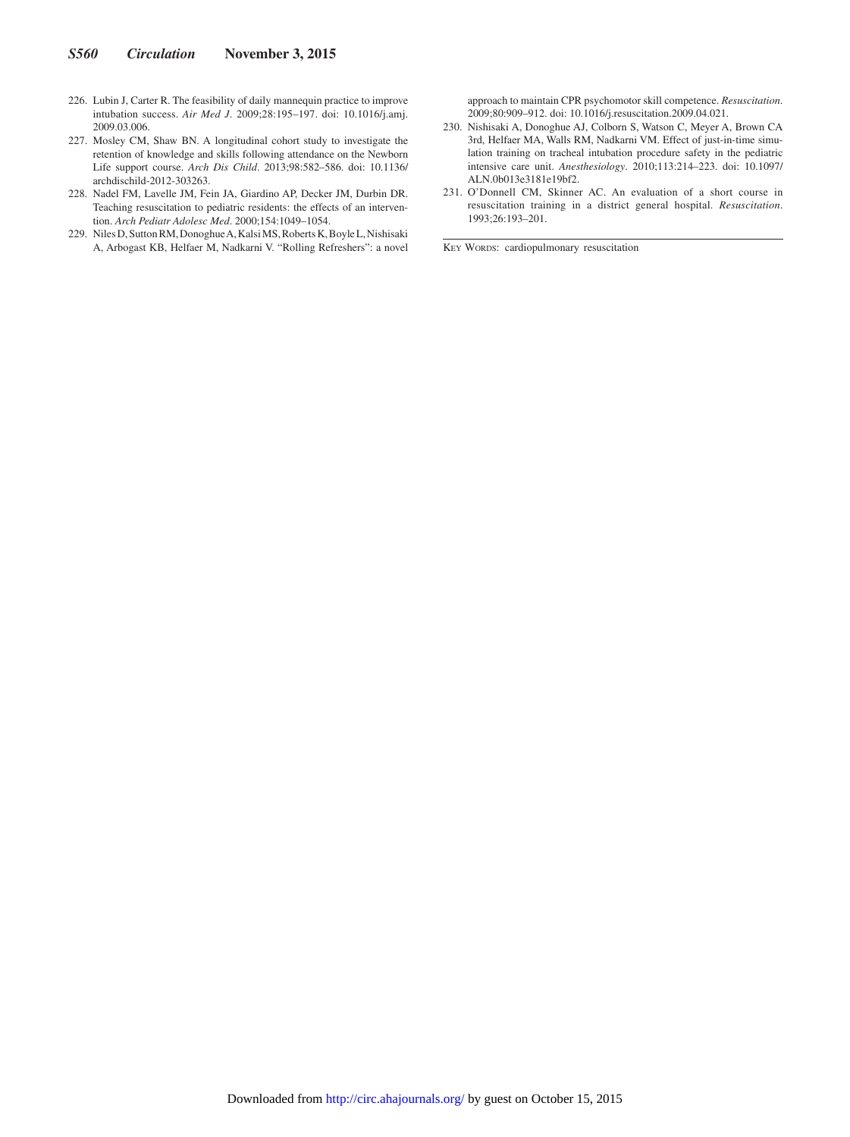- 226. Lubin J, Carter R. The feasibility of daily mannequin practice to improve intubation success. *Air Med J*. 2009;28:195–197. doi: 10.1016/j.amj. 2009.03.006.
- 227. Mosley CM, Shaw BN. A longitudinal cohort study to investigate the retention of knowledge and skills following attendance on the Newborn Life support course. *Arch Dis Child*. 2013;98:582–586. doi: 10.1136/ archdischild-2012-303263.
- 228. Nadel FM, Lavelle JM, Fein JA, Giardino AP, Decker JM, Durbin DR. Teaching resuscitation to pediatric residents: the effects of an intervention. *Arch Pediatr Adolesc Med*. 2000;154:1049–1054.
- 229. Niles D, Sutton RM, Donoghue A, Kalsi MS, Roberts K, Boyle L, Nishisaki A, Arbogast KB, Helfaer M, Nadkarni V. "Rolling Refreshers": a novel

approach to maintain CPR psychomotor skill competence. *Resuscitation*. 2009;80:909–912. doi: 10.1016/j.resuscitation.2009.04.021.

- 230. Nishisaki A, Donoghue AJ, Colborn S, Watson C, Meyer A, Brown CA 3rd, Helfaer MA, Walls RM, Nadkarni VM. Effect of just-in-time simulation training on tracheal intubation procedure safety in the pediatric intensive care unit. *Anesthesiology*. 2010;113:214–223. doi: 10.1097/ ALN.0b013e3181e19bf2.
- 231. O'Donnell CM, Skinner AC. An evaluation of a short course in resuscitation training in a district general hospital. *Resuscitation*. 1993;26:193–201.

KEY WORDS: cardiopulmonary resuscitation